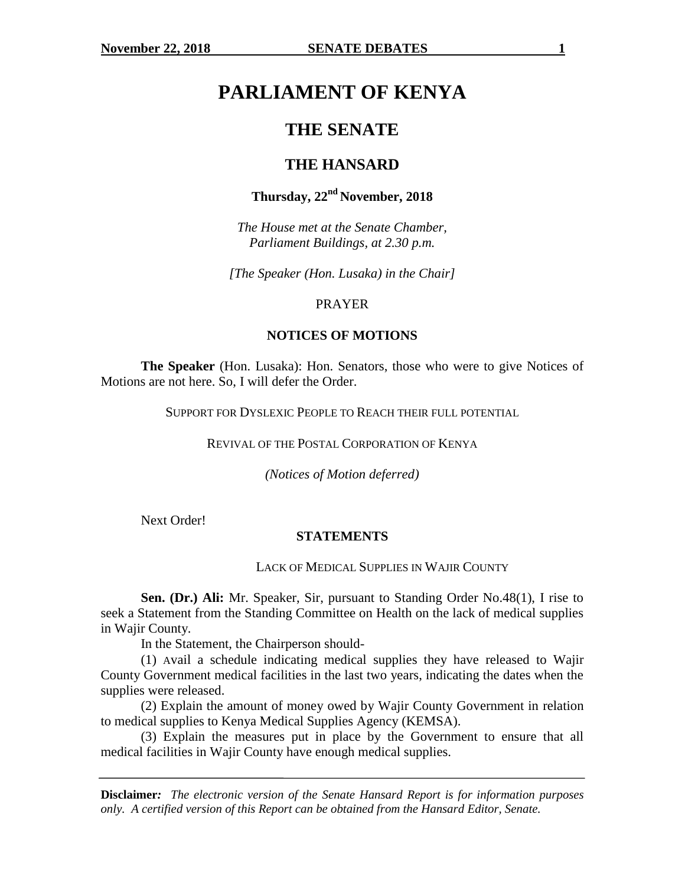# **PARLIAMENT OF KENYA**

# **THE SENATE**

# **THE HANSARD**

# **Thursday, 22nd November, 2018**

*The House met at the Senate Chamber, Parliament Buildings, at 2.30 p.m.*

*[The Speaker (Hon. Lusaka) in the Chair]*

#### PRAYER

#### **NOTICES OF MOTIONS**

**The Speaker** (Hon. Lusaka): Hon. Senators, those who were to give Notices of Motions are not here. So, I will defer the Order.

SUPPORT FOR DYSLEXIC PEOPLE TO REACH THEIR FULL POTENTIAL

REVIVAL OF THE POSTAL CORPORATION OF KENYA

*(Notices of Motion deferred)*

Next Order!

#### **STATEMENTS**

#### LACK OF MEDICAL SUPPLIES IN WAJIR COUNTY

**Sen. (Dr.) Ali:** Mr. Speaker, Sir, pursuant to Standing Order No.48(1), I rise to seek a Statement from the Standing Committee on Health on the lack of medical supplies in Wajir County.

In the Statement, the Chairperson should-

(1) Avail a schedule indicating medical supplies they have released to Wajir County Government medical facilities in the last two years, indicating the dates when the supplies were released.

(2) Explain the amount of money owed by Wajir County Government in relation to medical supplies to Kenya Medical Supplies Agency (KEMSA).

(3) Explain the measures put in place by the Government to ensure that all medical facilities in Wajir County have enough medical supplies.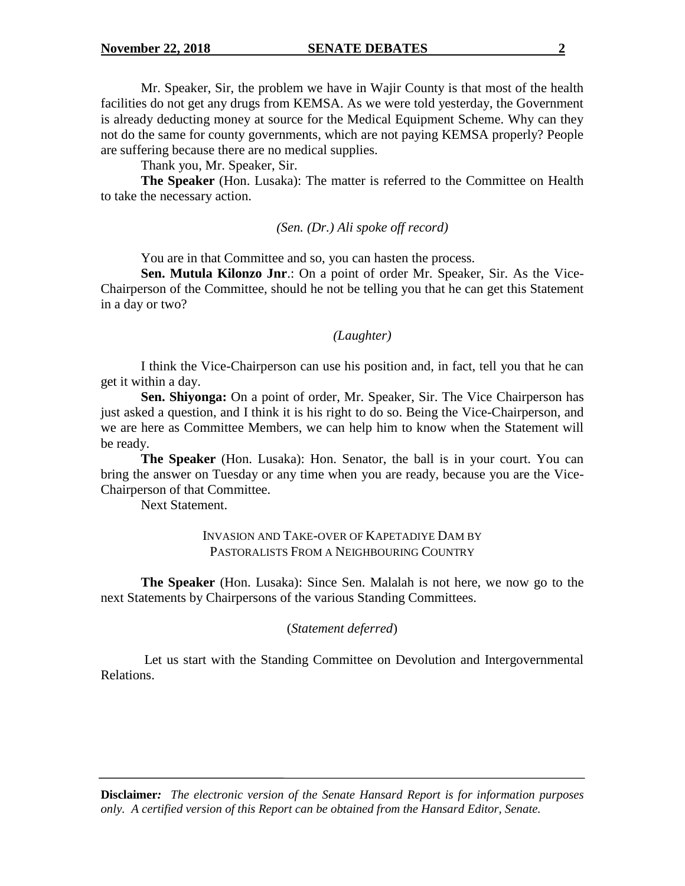Mr. Speaker, Sir, the problem we have in Wajir County is that most of the health facilities do not get any drugs from KEMSA. As we were told yesterday, the Government is already deducting money at source for the Medical Equipment Scheme. Why can they not do the same for county governments, which are not paying KEMSA properly? People are suffering because there are no medical supplies.

Thank you, Mr. Speaker, Sir.

**The Speaker** (Hon. Lusaka): The matter is referred to the Committee on Health to take the necessary action.

*(Sen. (Dr.) Ali spoke off record)*

You are in that Committee and so, you can hasten the process.

**Sen. Mutula Kilonzo Jnr**.: On a point of order Mr. Speaker, Sir. As the Vice-Chairperson of the Committee, should he not be telling you that he can get this Statement in a day or two?

# *(Laughter)*

I think the Vice-Chairperson can use his position and, in fact, tell you that he can get it within a day.

**Sen. Shiyonga:** On a point of order, Mr. Speaker, Sir. The Vice Chairperson has just asked a question, and I think it is his right to do so. Being the Vice-Chairperson, and we are here as Committee Members, we can help him to know when the Statement will be ready.

**The Speaker** (Hon. Lusaka): Hon. Senator, the ball is in your court. You can bring the answer on Tuesday or any time when you are ready, because you are the Vice-Chairperson of that Committee.

Next Statement.

### INVASION AND TAKE-OVER OF KAPETADIYE DAM BY PASTORALISTS FROM A NEIGHBOURING COUNTRY

**The Speaker** (Hon. Lusaka): Since Sen. Malalah is not here, we now go to the next Statements by Chairpersons of the various Standing Committees.

### (*Statement deferred*)

Let us start with the Standing Committee on Devolution and Intergovernmental Relations.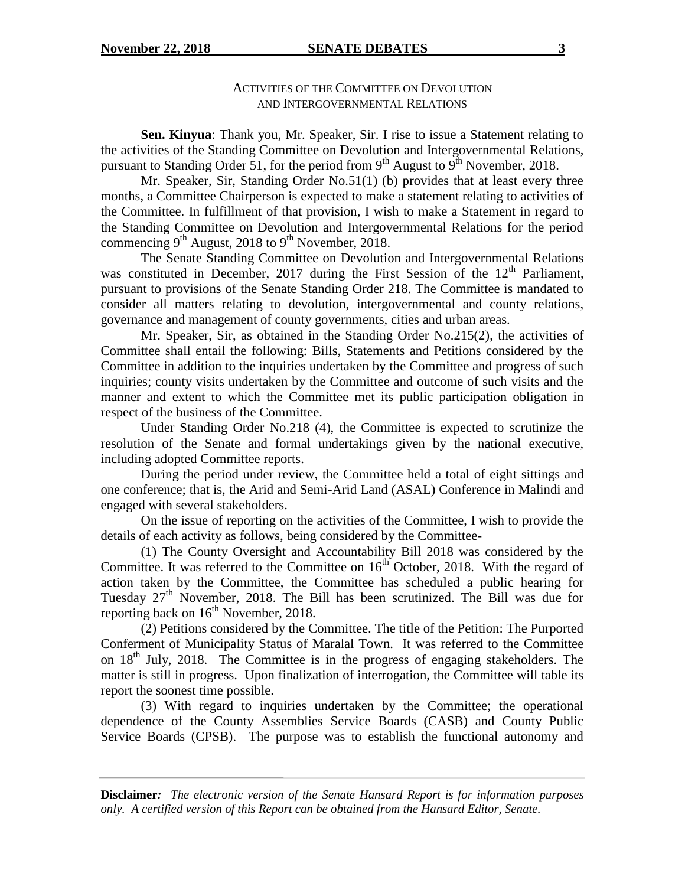#### **November 22, 2018 SENATE DEBATES** 3

## ACTIVITIES OF THE COMMITTEE ON DEVOLUTION AND INTERGOVERNMENTAL RELATIONS

**Sen. Kinyua**: Thank you, Mr. Speaker, Sir. I rise to issue a Statement relating to the activities of the Standing Committee on Devolution and Intergovernmental Relations, pursuant to Standing Order 51, for the period from  $9<sup>th</sup>$  August to  $9<sup>th</sup>$  November, 2018.

Mr. Speaker, Sir, Standing Order No.51(1) (b) provides that at least every three months, a Committee Chairperson is expected to make a statement relating to activities of the Committee. In fulfillment of that provision, I wish to make a Statement in regard to the Standing Committee on Devolution and Intergovernmental Relations for the period commencing  $9<sup>th</sup>$  August, 2018 to  $9<sup>th</sup>$  November, 2018.

The Senate Standing Committee on Devolution and Intergovernmental Relations was constituted in December, 2017 during the First Session of the  $12<sup>th</sup>$  Parliament, pursuant to provisions of the Senate Standing Order 218. The Committee is mandated to consider all matters relating to devolution, intergovernmental and county relations, governance and management of county governments, cities and urban areas.

Mr. Speaker, Sir, as obtained in the Standing Order No.215(2), the activities of Committee shall entail the following: Bills, Statements and Petitions considered by the Committee in addition to the inquiries undertaken by the Committee and progress of such inquiries; county visits undertaken by the Committee and outcome of such visits and the manner and extent to which the Committee met its public participation obligation in respect of the business of the Committee.

Under Standing Order No.218 (4), the Committee is expected to scrutinize the resolution of the Senate and formal undertakings given by the national executive, including adopted Committee reports.

During the period under review, the Committee held a total of eight sittings and one conference; that is, the Arid and Semi-Arid Land (ASAL) Conference in Malindi and engaged with several stakeholders.

On the issue of reporting on the activities of the Committee, I wish to provide the details of each activity as follows, being considered by the Committee-

(1) The County Oversight and Accountability Bill 2018 was considered by the Committee. It was referred to the Committee on  $16<sup>th</sup>$  October, 2018. With the regard of action taken by the Committee, the Committee has scheduled a public hearing for Tuesday 27<sup>th</sup> November, 2018. The Bill has been scrutinized. The Bill was due for reporting back on  $16<sup>th</sup>$  November, 2018.

(2) Petitions considered by the Committee. The title of the Petition: The Purported Conferment of Municipality Status of Maralal Town. It was referred to the Committee on  $18<sup>th</sup>$  July, 2018. The Committee is in the progress of engaging stakeholders. The matter is still in progress. Upon finalization of interrogation, the Committee will table its report the soonest time possible.

(3) With regard to inquiries undertaken by the Committee; the operational dependence of the County Assemblies Service Boards (CASB) and County Public Service Boards (CPSB). The purpose was to establish the functional autonomy and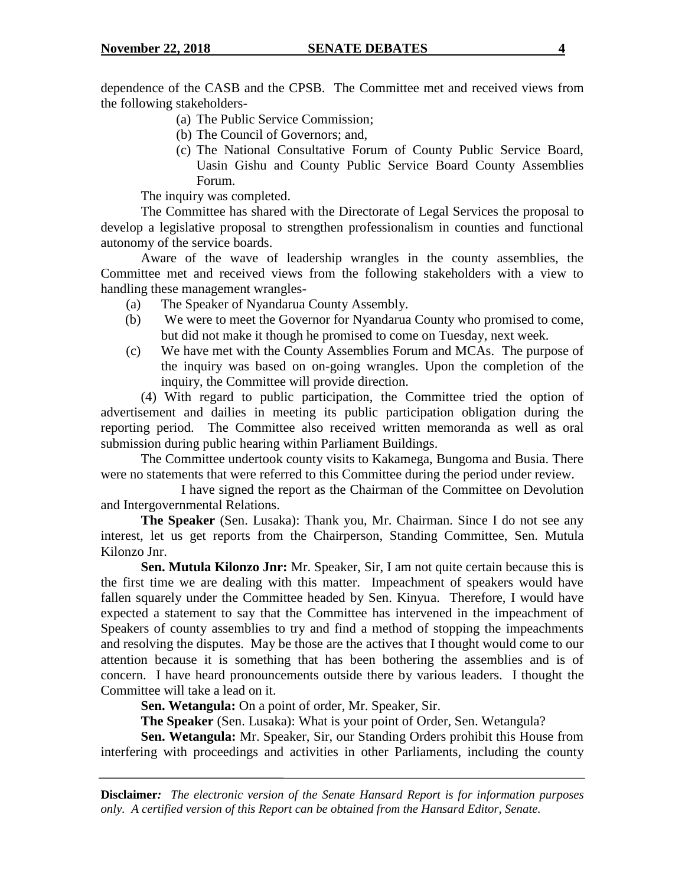dependence of the CASB and the CPSB. The Committee met and received views from the following stakeholders-

- (a) The Public Service Commission;
- (b) The Council of Governors; and,
- (c) The National Consultative Forum of County Public Service Board, Uasin Gishu and County Public Service Board County Assemblies Forum.

The inquiry was completed.

The Committee has shared with the Directorate of Legal Services the proposal to develop a legislative proposal to strengthen professionalism in counties and functional autonomy of the service boards.

Aware of the wave of leadership wrangles in the county assemblies, the Committee met and received views from the following stakeholders with a view to handling these management wrangles-

- (a) The Speaker of Nyandarua County Assembly.
- (b) We were to meet the Governor for Nyandarua County who promised to come, but did not make it though he promised to come on Tuesday, next week.
- (c) We have met with the County Assemblies Forum and MCAs. The purpose of the inquiry was based on on-going wrangles. Upon the completion of the inquiry, the Committee will provide direction.

(4) With regard to public participation, the Committee tried the option of advertisement and dailies in meeting its public participation obligation during the reporting period. The Committee also received written memoranda as well as oral submission during public hearing within Parliament Buildings.

The Committee undertook county visits to Kakamega, Bungoma and Busia. There were no statements that were referred to this Committee during the period under review.

I have signed the report as the Chairman of the Committee on Devolution and Intergovernmental Relations.

**The Speaker** (Sen. Lusaka): Thank you, Mr. Chairman. Since I do not see any interest, let us get reports from the Chairperson, Standing Committee, Sen. Mutula Kilonzo Jnr.

**Sen. Mutula Kilonzo Jnr:** Mr. Speaker, Sir, I am not quite certain because this is the first time we are dealing with this matter. Impeachment of speakers would have fallen squarely under the Committee headed by Sen. Kinyua. Therefore, I would have expected a statement to say that the Committee has intervened in the impeachment of Speakers of county assemblies to try and find a method of stopping the impeachments and resolving the disputes. May be those are the actives that I thought would come to our attention because it is something that has been bothering the assemblies and is of concern. I have heard pronouncements outside there by various leaders. I thought the Committee will take a lead on it.

**Sen. Wetangula:** On a point of order, Mr. Speaker, Sir.

**The Speaker** (Sen. Lusaka): What is your point of Order, Sen. Wetangula?

**Sen. Wetangula:** Mr. Speaker, Sir, our Standing Orders prohibit this House from interfering with proceedings and activities in other Parliaments, including the county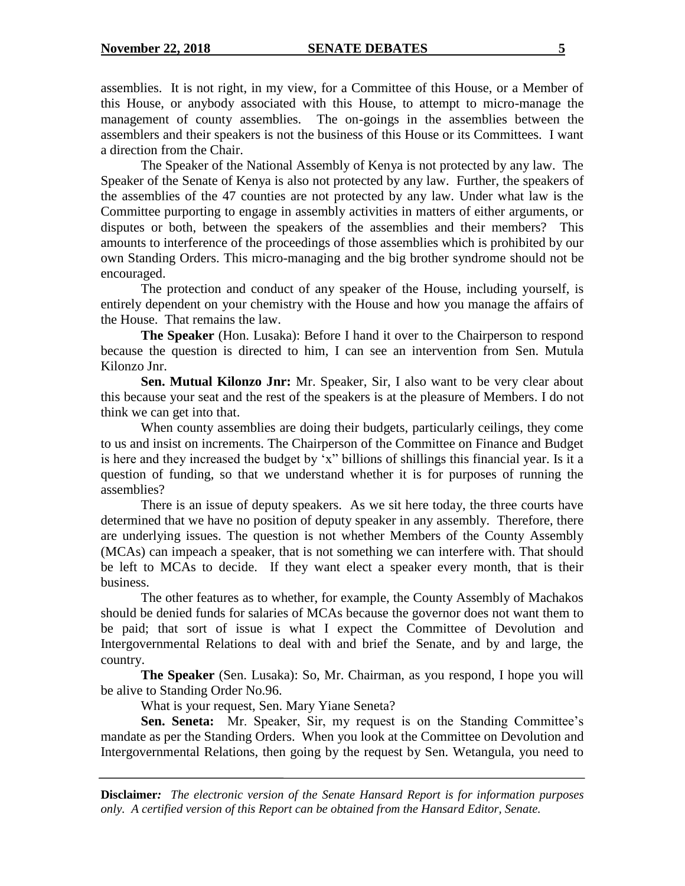assemblies. It is not right, in my view, for a Committee of this House, or a Member of this House, or anybody associated with this House, to attempt to micro-manage the management of county assemblies. The on-goings in the assemblies between the assemblers and their speakers is not the business of this House or its Committees. I want a direction from the Chair.

The Speaker of the National Assembly of Kenya is not protected by any law. The Speaker of the Senate of Kenya is also not protected by any law. Further, the speakers of the assemblies of the 47 counties are not protected by any law. Under what law is the Committee purporting to engage in assembly activities in matters of either arguments, or disputes or both, between the speakers of the assemblies and their members? This amounts to interference of the proceedings of those assemblies which is prohibited by our own Standing Orders. This micro-managing and the big brother syndrome should not be encouraged.

The protection and conduct of any speaker of the House, including yourself, is entirely dependent on your chemistry with the House and how you manage the affairs of the House. That remains the law.

**The Speaker** (Hon. Lusaka): Before I hand it over to the Chairperson to respond because the question is directed to him, I can see an intervention from Sen. Mutula Kilonzo Jnr.

**Sen. Mutual Kilonzo Jnr:** Mr. Speaker, Sir, I also want to be very clear about this because your seat and the rest of the speakers is at the pleasure of Members. I do not think we can get into that.

When county assemblies are doing their budgets, particularly ceilings, they come to us and insist on increments. The Chairperson of the Committee on Finance and Budget is here and they increased the budget by "x" billions of shillings this financial year. Is it a question of funding, so that we understand whether it is for purposes of running the assemblies?

There is an issue of deputy speakers. As we sit here today, the three courts have determined that we have no position of deputy speaker in any assembly. Therefore, there are underlying issues. The question is not whether Members of the County Assembly (MCAs) can impeach a speaker, that is not something we can interfere with. That should be left to MCAs to decide. If they want elect a speaker every month, that is their business.

The other features as to whether, for example, the County Assembly of Machakos should be denied funds for salaries of MCAs because the governor does not want them to be paid; that sort of issue is what I expect the Committee of Devolution and Intergovernmental Relations to deal with and brief the Senate, and by and large, the country.

**The Speaker** (Sen. Lusaka): So, Mr. Chairman, as you respond, I hope you will be alive to Standing Order No.96.

What is your request, Sen. Mary Yiane Seneta?

**Sen. Seneta:** Mr. Speaker, Sir, my request is on the Standing Committee's mandate as per the Standing Orders. When you look at the Committee on Devolution and Intergovernmental Relations, then going by the request by Sen. Wetangula, you need to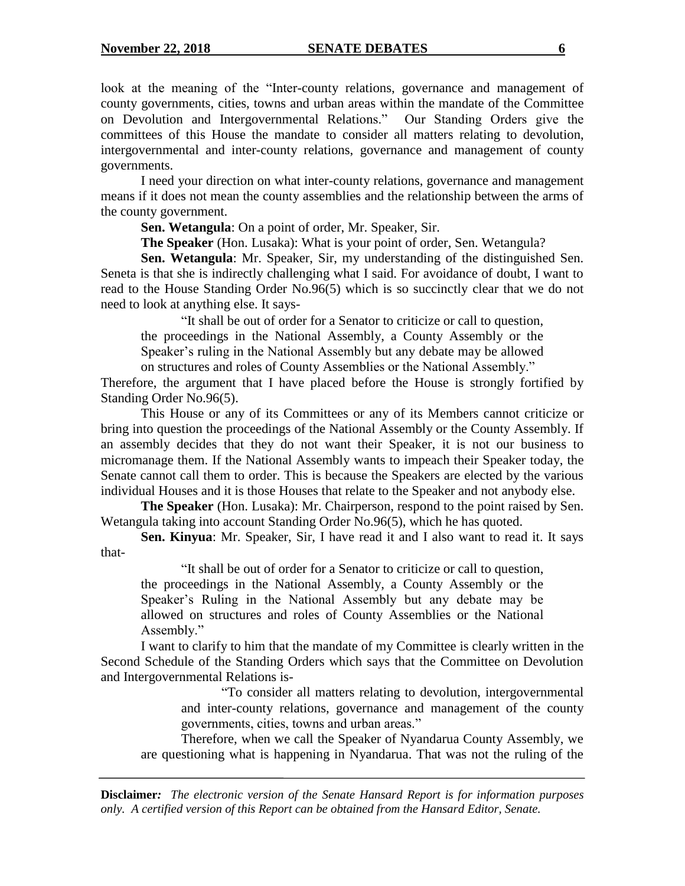look at the meaning of the "Inter-county relations, governance and management of county governments, cities, towns and urban areas within the mandate of the Committee on Devolution and Intergovernmental Relations." Our Standing Orders give the committees of this House the mandate to consider all matters relating to devolution, intergovernmental and inter-county relations, governance and management of county governments.

I need your direction on what inter-county relations, governance and management means if it does not mean the county assemblies and the relationship between the arms of the county government.

**Sen. Wetangula**: On a point of order, Mr. Speaker, Sir.

**The Speaker** (Hon. Lusaka): What is your point of order, Sen. Wetangula?

**Sen. Wetangula**: Mr. Speaker, Sir, my understanding of the distinguished Sen. Seneta is that she is indirectly challenging what I said. For avoidance of doubt, I want to read to the House Standing Order No.96(5) which is so succinctly clear that we do not need to look at anything else. It says-

"It shall be out of order for a Senator to criticize or call to question, the proceedings in the National Assembly, a County Assembly or the Speaker"s ruling in the National Assembly but any debate may be allowed on structures and roles of County Assemblies or the National Assembly."

Therefore, the argument that I have placed before the House is strongly fortified by Standing Order No.96(5).

This House or any of its Committees or any of its Members cannot criticize or bring into question the proceedings of the National Assembly or the County Assembly. If an assembly decides that they do not want their Speaker, it is not our business to micromanage them. If the National Assembly wants to impeach their Speaker today, the Senate cannot call them to order. This is because the Speakers are elected by the various individual Houses and it is those Houses that relate to the Speaker and not anybody else.

**The Speaker** (Hon. Lusaka): Mr. Chairperson, respond to the point raised by Sen. Wetangula taking into account Standing Order No.96(5), which he has quoted.

**Sen. Kinyua**: Mr. Speaker, Sir, I have read it and I also want to read it. It says that-

"It shall be out of order for a Senator to criticize or call to question, the proceedings in the National Assembly, a County Assembly or the Speaker"s Ruling in the National Assembly but any debate may be allowed on structures and roles of County Assemblies or the National Assembly."

I want to clarify to him that the mandate of my Committee is clearly written in the Second Schedule of the Standing Orders which says that the Committee on Devolution and Intergovernmental Relations is-

> "To consider all matters relating to devolution, intergovernmental and inter-county relations, governance and management of the county governments, cities, towns and urban areas."

Therefore, when we call the Speaker of Nyandarua County Assembly, we are questioning what is happening in Nyandarua. That was not the ruling of the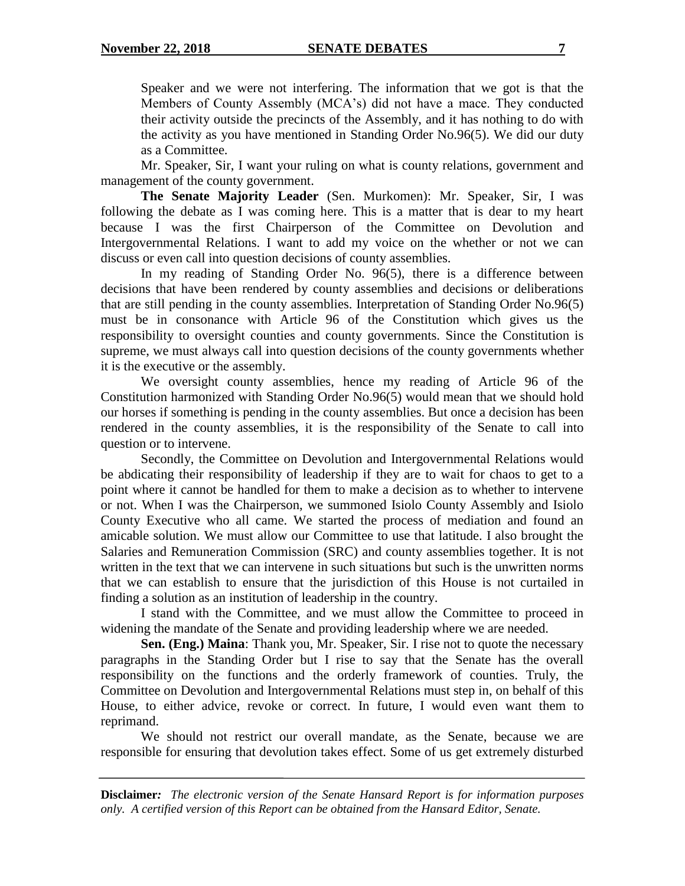Speaker and we were not interfering. The information that we got is that the Members of County Assembly (MCA"s) did not have a mace. They conducted their activity outside the precincts of the Assembly, and it has nothing to do with the activity as you have mentioned in Standing Order No.96(5). We did our duty as a Committee.

Mr. Speaker, Sir, I want your ruling on what is county relations, government and management of the county government.

**The Senate Majority Leader** (Sen. Murkomen): Mr. Speaker, Sir, I was following the debate as I was coming here. This is a matter that is dear to my heart because I was the first Chairperson of the Committee on Devolution and Intergovernmental Relations. I want to add my voice on the whether or not we can discuss or even call into question decisions of county assemblies.

In my reading of Standing Order No. 96(5), there is a difference between decisions that have been rendered by county assemblies and decisions or deliberations that are still pending in the county assemblies. Interpretation of Standing Order No.96(5) must be in consonance with Article 96 of the Constitution which gives us the responsibility to oversight counties and county governments. Since the Constitution is supreme, we must always call into question decisions of the county governments whether it is the executive or the assembly.

We oversight county assemblies, hence my reading of Article 96 of the Constitution harmonized with Standing Order No.96(5) would mean that we should hold our horses if something is pending in the county assemblies. But once a decision has been rendered in the county assemblies, it is the responsibility of the Senate to call into question or to intervene.

Secondly, the Committee on Devolution and Intergovernmental Relations would be abdicating their responsibility of leadership if they are to wait for chaos to get to a point where it cannot be handled for them to make a decision as to whether to intervene or not. When I was the Chairperson, we summoned Isiolo County Assembly and Isiolo County Executive who all came. We started the process of mediation and found an amicable solution. We must allow our Committee to use that latitude. I also brought the Salaries and Remuneration Commission (SRC) and county assemblies together. It is not written in the text that we can intervene in such situations but such is the unwritten norms that we can establish to ensure that the jurisdiction of this House is not curtailed in finding a solution as an institution of leadership in the country.

I stand with the Committee, and we must allow the Committee to proceed in widening the mandate of the Senate and providing leadership where we are needed.

**Sen. (Eng.) Maina**: Thank you, Mr. Speaker, Sir. I rise not to quote the necessary paragraphs in the Standing Order but I rise to say that the Senate has the overall responsibility on the functions and the orderly framework of counties. Truly, the Committee on Devolution and Intergovernmental Relations must step in, on behalf of this House, to either advice, revoke or correct. In future, I would even want them to reprimand.

We should not restrict our overall mandate, as the Senate, because we are responsible for ensuring that devolution takes effect. Some of us get extremely disturbed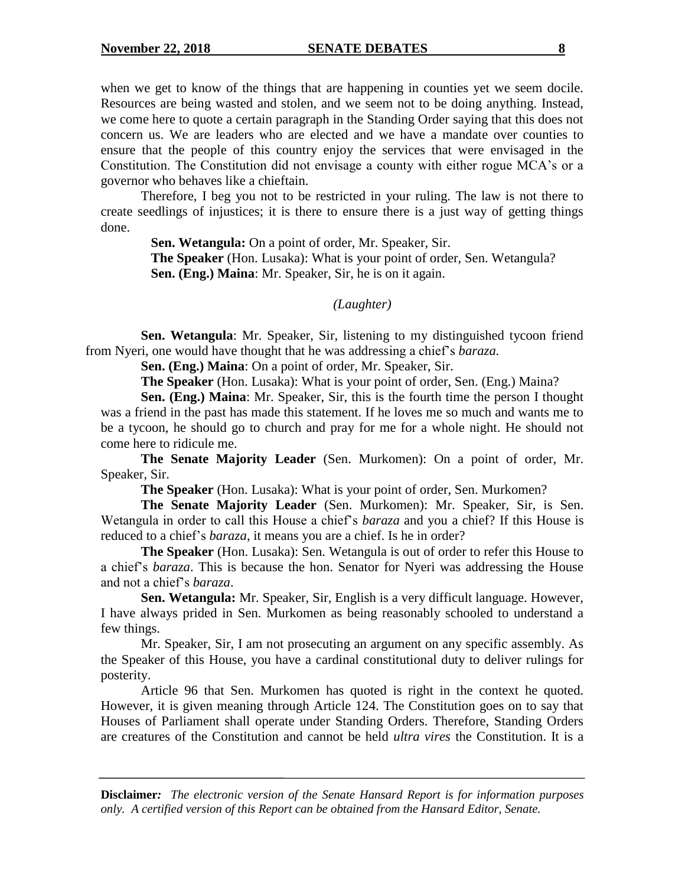when we get to know of the things that are happening in counties yet we seem docile. Resources are being wasted and stolen, and we seem not to be doing anything. Instead, we come here to quote a certain paragraph in the Standing Order saying that this does not concern us. We are leaders who are elected and we have a mandate over counties to ensure that the people of this country enjoy the services that were envisaged in the Constitution. The Constitution did not envisage a county with either rogue MCA"s or a governor who behaves like a chieftain.

Therefore, I beg you not to be restricted in your ruling. The law is not there to create seedlings of injustices; it is there to ensure there is a just way of getting things done.

> **Sen. Wetangula:** On a point of order, Mr. Speaker, Sir. **The Speaker** (Hon. Lusaka): What is your point of order, Sen. Wetangula?

**Sen. (Eng.) Maina**: Mr. Speaker, Sir, he is on it again.

### *(Laughter)*

**Sen. Wetangula**: Mr. Speaker, Sir, listening to my distinguished tycoon friend from Nyeri, one would have thought that he was addressing a chief"s *baraza.*

**Sen. (Eng.) Maina**: On a point of order, Mr. Speaker, Sir.

**The Speaker** (Hon. Lusaka): What is your point of order, Sen. (Eng.) Maina?

**Sen. (Eng.) Maina**: Mr. Speaker, Sir, this is the fourth time the person I thought was a friend in the past has made this statement. If he loves me so much and wants me to be a tycoon, he should go to church and pray for me for a whole night. He should not come here to ridicule me.

**The Senate Majority Leader** (Sen. Murkomen): On a point of order, Mr. Speaker, Sir.

**The Speaker** (Hon. Lusaka): What is your point of order, Sen. Murkomen?

**The Senate Majority Leader** (Sen. Murkomen): Mr. Speaker, Sir, is Sen. Wetangula in order to call this House a chief"s *baraza* and you a chief? If this House is reduced to a chief"s *baraza*, it means you are a chief. Is he in order?

**The Speaker** (Hon. Lusaka): Sen. Wetangula is out of order to refer this House to a chief"s *baraza*. This is because the hon. Senator for Nyeri was addressing the House and not a chief"s *baraza*.

**Sen. Wetangula:** Mr. Speaker, Sir, English is a very difficult language. However, I have always prided in Sen. Murkomen as being reasonably schooled to understand a few things.

Mr. Speaker, Sir, I am not prosecuting an argument on any specific assembly. As the Speaker of this House, you have a cardinal constitutional duty to deliver rulings for posterity.

Article 96 that Sen. Murkomen has quoted is right in the context he quoted. However, it is given meaning through Article 124. The Constitution goes on to say that Houses of Parliament shall operate under Standing Orders. Therefore, Standing Orders are creatures of the Constitution and cannot be held *ultra vires* the Constitution. It is a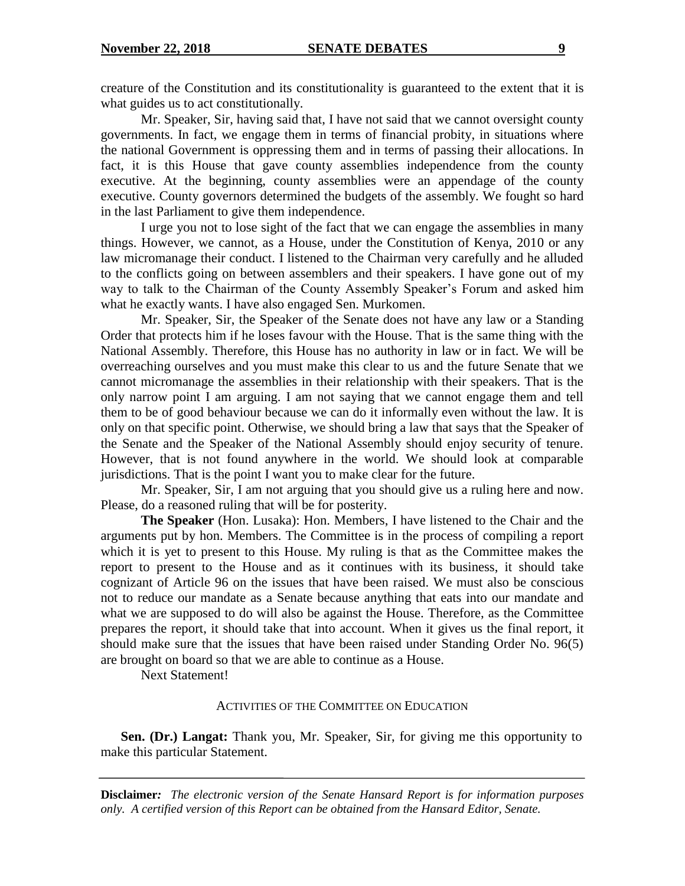creature of the Constitution and its constitutionality is guaranteed to the extent that it is what guides us to act constitutionally.

Mr. Speaker, Sir, having said that, I have not said that we cannot oversight county governments. In fact, we engage them in terms of financial probity, in situations where the national Government is oppressing them and in terms of passing their allocations. In fact, it is this House that gave county assemblies independence from the county executive. At the beginning, county assemblies were an appendage of the county executive. County governors determined the budgets of the assembly. We fought so hard in the last Parliament to give them independence.

I urge you not to lose sight of the fact that we can engage the assemblies in many things. However, we cannot, as a House, under the Constitution of Kenya, 2010 or any law micromanage their conduct. I listened to the Chairman very carefully and he alluded to the conflicts going on between assemblers and their speakers. I have gone out of my way to talk to the Chairman of the County Assembly Speaker"s Forum and asked him what he exactly wants. I have also engaged Sen. Murkomen.

Mr. Speaker, Sir, the Speaker of the Senate does not have any law or a Standing Order that protects him if he loses favour with the House. That is the same thing with the National Assembly. Therefore, this House has no authority in law or in fact. We will be overreaching ourselves and you must make this clear to us and the future Senate that we cannot micromanage the assemblies in their relationship with their speakers. That is the only narrow point I am arguing. I am not saying that we cannot engage them and tell them to be of good behaviour because we can do it informally even without the law. It is only on that specific point. Otherwise, we should bring a law that says that the Speaker of the Senate and the Speaker of the National Assembly should enjoy security of tenure. However, that is not found anywhere in the world. We should look at comparable jurisdictions. That is the point I want you to make clear for the future.

Mr. Speaker, Sir, I am not arguing that you should give us a ruling here and now. Please, do a reasoned ruling that will be for posterity.

**The Speaker** (Hon. Lusaka): Hon. Members, I have listened to the Chair and the arguments put by hon. Members. The Committee is in the process of compiling a report which it is yet to present to this House. My ruling is that as the Committee makes the report to present to the House and as it continues with its business, it should take cognizant of Article 96 on the issues that have been raised. We must also be conscious not to reduce our mandate as a Senate because anything that eats into our mandate and what we are supposed to do will also be against the House. Therefore, as the Committee prepares the report, it should take that into account. When it gives us the final report, it should make sure that the issues that have been raised under Standing Order No. 96(5) are brought on board so that we are able to continue as a House.

Next Statement!

#### ACTIVITIES OF THE COMMITTEE ON EDUCATION

**Sen. (Dr.) Langat:** Thank you, Mr. Speaker, Sir, for giving me this opportunity to make this particular Statement.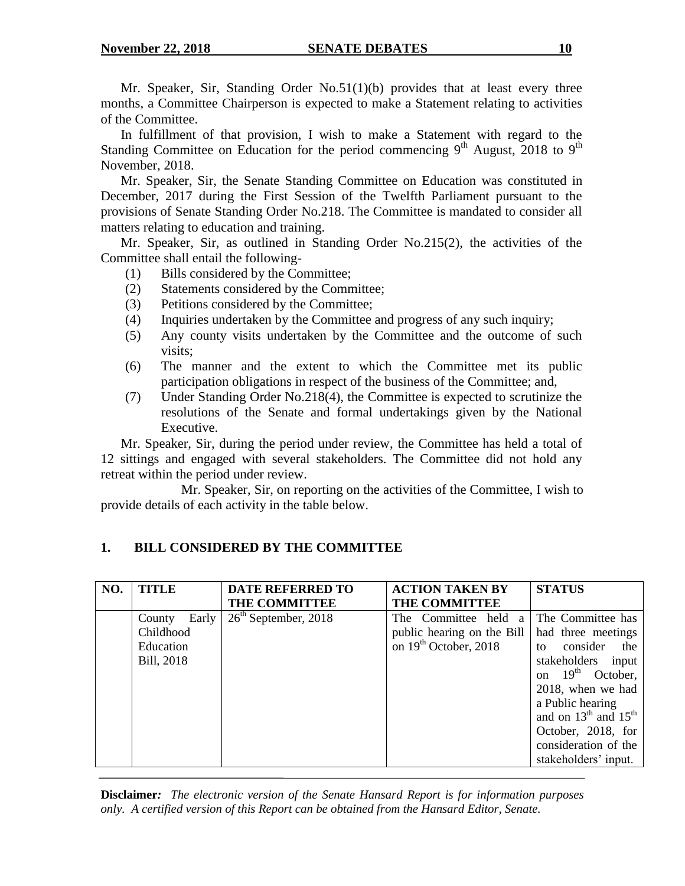Mr. Speaker, Sir, Standing Order No.51(1)(b) provides that at least every three months, a Committee Chairperson is expected to make a Statement relating to activities of the Committee.

In fulfillment of that provision, I wish to make a Statement with regard to the Standing Committee on Education for the period commencing  $9<sup>th</sup>$  August, 2018 to  $9<sup>th</sup>$ November, 2018.

Mr. Speaker, Sir, the Senate Standing Committee on Education was constituted in December, 2017 during the First Session of the Twelfth Parliament pursuant to the provisions of Senate Standing Order No.218. The Committee is mandated to consider all matters relating to education and training.

Mr. Speaker, Sir, as outlined in Standing Order No.215(2), the activities of the Committee shall entail the following-

- (1) Bills considered by the Committee;
- (2) Statements considered by the Committee;
- (3) Petitions considered by the Committee;
- (4) Inquiries undertaken by the Committee and progress of any such inquiry;
- (5) Any county visits undertaken by the Committee and the outcome of such visits;
- (6) The manner and the extent to which the Committee met its public participation obligations in respect of the business of the Committee; and,
- (7) Under Standing Order No.218(4), the Committee is expected to scrutinize the resolutions of the Senate and formal undertakings given by the National Executive.

Mr. Speaker, Sir, during the period under review, the Committee has held a total of 12 sittings and engaged with several stakeholders. The Committee did not hold any retreat within the period under review.

Mr. Speaker, Sir, on reporting on the activities of the Committee, I wish to provide details of each activity in the table below.

# **1. BILL CONSIDERED BY THE COMMITTEE**

| NO. | <b>TITLE</b>                                            | <b>DATE REFERRED TO</b><br><b>THE COMMITTEE</b> | <b>ACTION TAKEN BY</b><br><b>THE COMMITTEE</b>                                                        | <b>STATUS</b>                                                                                                                                                                                                                                              |
|-----|---------------------------------------------------------|-------------------------------------------------|-------------------------------------------------------------------------------------------------------|------------------------------------------------------------------------------------------------------------------------------------------------------------------------------------------------------------------------------------------------------------|
|     | Early<br>County<br>Childhood<br>Education<br>Bill, 2018 | $26th$ September, 2018                          | The Committee held<br><sub>a</sub><br>public hearing on the Bill<br>on 19 <sup>th</sup> October, 2018 | The Committee has<br>had three meetings<br>consider<br>the<br>to<br>stakeholders<br>input<br>on $19th$ October,<br>2018, when we had<br>a Public hearing<br>and on $13th$ and $15th$<br>October, 2018, for<br>consideration of the<br>stakeholders' input. |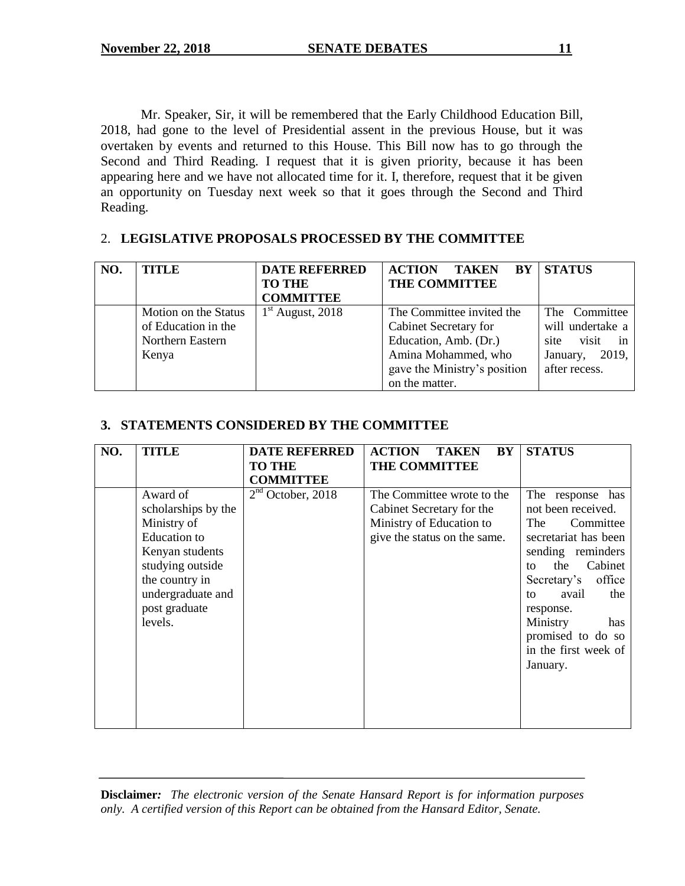Mr. Speaker, Sir, it will be remembered that the Early Childhood Education Bill, 2018, had gone to the level of Presidential assent in the previous House, but it was overtaken by events and returned to this House. This Bill now has to go through the Second and Third Reading. I request that it is given priority, because it has been appearing here and we have not allocated time for it. I, therefore, request that it be given an opportunity on Tuesday next week so that it goes through the Second and Third Reading.

# 2. **LEGISLATIVE PROPOSALS PROCESSED BY THE COMMITTEE**

| NO. | TITLE                | <b>DATE REFERRED</b><br><b>TO THE</b> | BY<br><b>ACTION</b><br><b>TAKEN</b><br>THE COMMITTEE | <b>STATUS</b>       |
|-----|----------------------|---------------------------------------|------------------------------------------------------|---------------------|
|     |                      | <b>COMMITTEE</b>                      |                                                      |                     |
|     | Motion on the Status | $1st$ August, 2018                    | The Committee invited the                            | The Committee       |
|     | of Education in the  |                                       | Cabinet Secretary for                                | will undertake a    |
|     | Northern Eastern     |                                       | Education, Amb. (Dr.)                                | visit<br>site<br>in |
|     | Kenya                |                                       | Amina Mohammed, who                                  | 2019,<br>January,   |
|     |                      |                                       | gave the Ministry's position                         | after recess.       |
|     |                      |                                       | on the matter.                                       |                     |

# **3. STATEMENTS CONSIDERED BY THE COMMITTEE**

| NO. | TITLE               | <b>DATE REFERRED</b> | <b>ACTION</b><br><b>TAKEN</b><br>BY | <b>STATUS</b>         |
|-----|---------------------|----------------------|-------------------------------------|-----------------------|
|     |                     | <b>TO THE</b>        | <b>THE COMMITTEE</b>                |                       |
|     |                     | <b>COMMITTEE</b>     |                                     |                       |
|     | Award of            | $2nd$ October, 2018  | The Committee wrote to the          | The response has      |
|     | scholarships by the |                      | Cabinet Secretary for the           | not been received.    |
|     | Ministry of         |                      | Ministry of Education to            | The<br>Committee      |
|     | <b>Education</b> to |                      | give the status on the same.        | secretariat has been  |
|     | Kenyan students     |                      |                                     | sending reminders     |
|     | studying outside    |                      |                                     | Cabinet<br>the<br>tΩ  |
|     | the country in      |                      |                                     | office<br>Secretary's |
|     | undergraduate and   |                      |                                     | avail<br>the<br>to    |
|     | post graduate       |                      |                                     | response.             |
|     | levels.             |                      |                                     | Ministry<br>has       |
|     |                     |                      |                                     | promised to do so     |
|     |                     |                      |                                     | in the first week of  |
|     |                     |                      |                                     | January.              |
|     |                     |                      |                                     |                       |
|     |                     |                      |                                     |                       |
|     |                     |                      |                                     |                       |
|     |                     |                      |                                     |                       |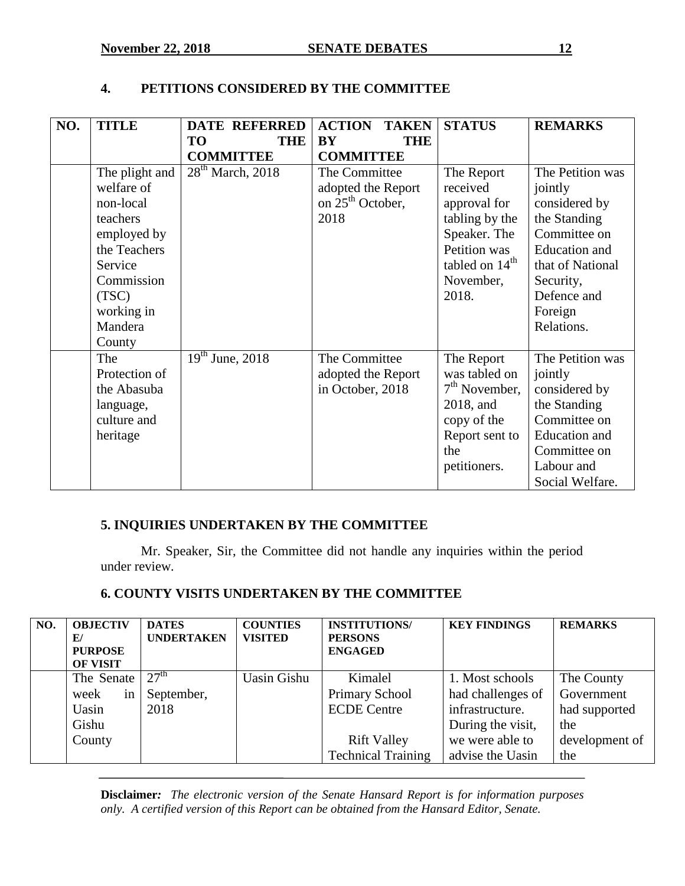# **4. PETITIONS CONSIDERED BY THE COMMITTEE**

| NO. | <b>TITLE</b>                                                                                                                         | <b>DATE REFERRED</b>    | <b>ACTION</b><br><b>TAKEN</b>                                               | <b>STATUS</b>                                                                                                                      | <b>REMARKS</b>                                                                                                                                                      |
|-----|--------------------------------------------------------------------------------------------------------------------------------------|-------------------------|-----------------------------------------------------------------------------|------------------------------------------------------------------------------------------------------------------------------------|---------------------------------------------------------------------------------------------------------------------------------------------------------------------|
|     |                                                                                                                                      | <b>THE</b><br><b>TO</b> | <b>BY</b><br><b>THE</b>                                                     |                                                                                                                                    |                                                                                                                                                                     |
|     |                                                                                                                                      | <b>COMMITTEE</b>        | <b>COMMITTEE</b>                                                            |                                                                                                                                    |                                                                                                                                                                     |
|     | The plight and<br>welfare of<br>non-local<br>teachers<br>employed by<br>the Teachers<br>Service<br>Commission<br>(TSC)<br>working in | $28th$ March, 2018      | The Committee<br>adopted the Report<br>on 25 <sup>th</sup> October,<br>2018 | The Report<br>received<br>approval for<br>tabling by the<br>Speaker. The<br>Petition was<br>tabled on $14th$<br>November,<br>2018. | The Petition was<br>jointly<br>considered by<br>the Standing<br>Committee on<br>Education and<br>that of National<br>Security,<br>Defence and<br>Foreign            |
|     | Mandera<br>County<br>The<br>Protection of<br>the Abasuba<br>language,<br>culture and<br>heritage                                     | $19th$ June, 2018       | The Committee<br>adopted the Report<br>in October, 2018                     | The Report<br>was tabled on<br>$7th$ November,<br>2018, and<br>copy of the<br>Report sent to<br>the<br>petitioners.                | Relations.<br>The Petition was<br>jointly<br>considered by<br>the Standing<br>Committee on<br><b>Education</b> and<br>Committee on<br>Labour and<br>Social Welfare. |

# **5. INQUIRIES UNDERTAKEN BY THE COMMITTEE**

Mr. Speaker, Sir, the Committee did not handle any inquiries within the period under review*.*

# **6. COUNTY VISITS UNDERTAKEN BY THE COMMITTEE**

| NO. | <b>OBJECTIV</b><br>E/<br><b>PURPOSE</b><br><b>OF VISIT</b> | <b>DATES</b><br><b>UNDERTAKEN</b> | <b>COUNTIES</b><br><b>VISITED</b> | <b>INSTITUTIONS/</b><br><b>PERSONS</b><br><b>ENGAGED</b> | <b>KEY FINDINGS</b>                  | <b>REMARKS</b>           |
|-----|------------------------------------------------------------|-----------------------------------|-----------------------------------|----------------------------------------------------------|--------------------------------------|--------------------------|
|     | The Senate<br>week<br>in                                   | 27 <sup>th</sup><br>September,    | <b>Uasin Gishu</b>                | Kimalel<br><b>Primary School</b>                         | 1. Most schools<br>had challenges of | The County<br>Government |
|     | Uasin<br>Gishu                                             | 2018                              |                                   | <b>ECDE</b> Centre                                       | infrastructure.<br>During the visit, | had supported<br>the     |
|     | County                                                     |                                   |                                   | <b>Rift Valley</b><br><b>Technical Training</b>          | we were able to<br>advise the Uasin  | development of<br>the    |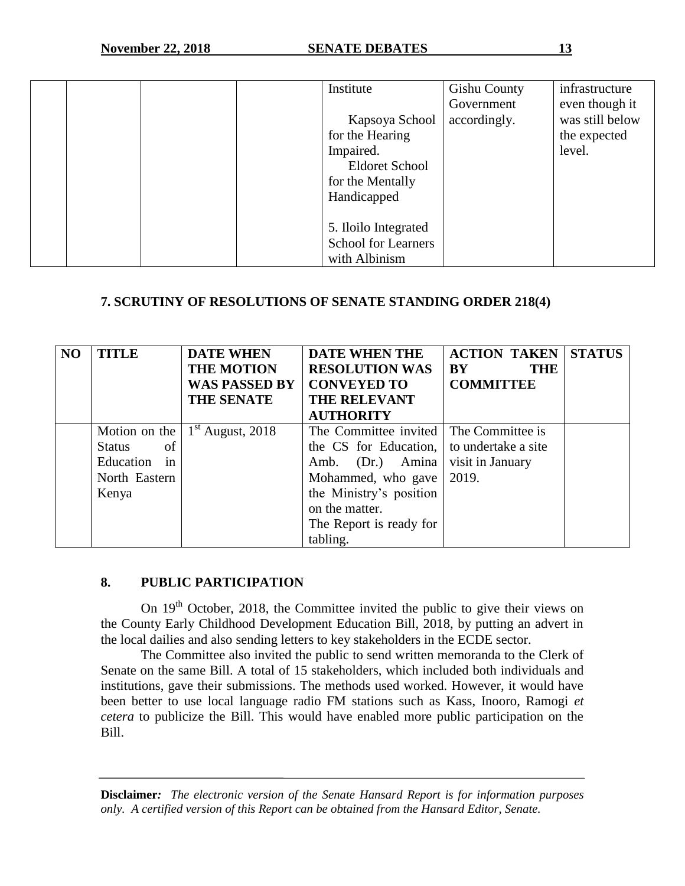|  | Institute                  | <b>Gishu County</b> | infrastructure  |
|--|----------------------------|---------------------|-----------------|
|  |                            | Government          | even though it  |
|  | Kapsoya School             | accordingly.        | was still below |
|  | for the Hearing            |                     | the expected    |
|  | Impaired.                  |                     | level.          |
|  | <b>Eldoret School</b>      |                     |                 |
|  | for the Mentally           |                     |                 |
|  | Handicapped                |                     |                 |
|  |                            |                     |                 |
|  | 5. Iloilo Integrated       |                     |                 |
|  | <b>School for Learners</b> |                     |                 |
|  | with Albinism              |                     |                 |

# **7. SCRUTINY OF RESOLUTIONS OF SENATE STANDING ORDER 218(4)**

| N <sub>O</sub> | <b>TITLE</b>        | <b>DATE WHEN</b><br><b>THE MOTION</b>     | <b>DATE WHEN THE</b><br><b>RESOLUTION WAS</b> | <b>ACTION TAKEN</b><br><b>BY</b><br><b>THE</b> | <b>STATUS</b> |
|----------------|---------------------|-------------------------------------------|-----------------------------------------------|------------------------------------------------|---------------|
|                |                     | <b>WAS PASSED BY</b><br><b>THE SENATE</b> | <b>CONVEYED TO</b><br><b>THE RELEVANT</b>     | <b>COMMITTEE</b>                               |               |
|                |                     |                                           | <b>AUTHORITY</b>                              |                                                |               |
|                |                     | Motion on the $1st$ August, 2018          | The Committee invited The Committee is        |                                                |               |
|                | of<br><b>Status</b> |                                           | the CS for Education,                         | to undertake a site                            |               |
|                | Education in        |                                           | Amb. (Dr.) Amina                              | visit in January                               |               |
|                | North Eastern       |                                           | Mohammed, who gave                            | 2019.                                          |               |
|                | Kenya               |                                           | the Ministry's position                       |                                                |               |
|                |                     |                                           | on the matter.                                |                                                |               |
|                |                     |                                           | The Report is ready for                       |                                                |               |
|                |                     |                                           | tabling.                                      |                                                |               |

### **8. PUBLIC PARTICIPATION**

On 19<sup>th</sup> October, 2018, the Committee invited the public to give their views on the County Early Childhood Development Education Bill, 2018, by putting an advert in the local dailies and also sending letters to key stakeholders in the ECDE sector.

The Committee also invited the public to send written memoranda to the Clerk of Senate on the same Bill. A total of 15 stakeholders, which included both individuals and institutions, gave their submissions. The methods used worked. However, it would have been better to use local language radio FM stations such as Kass, Inooro, Ramogi *et cetera* to publicize the Bill. This would have enabled more public participation on the Bill.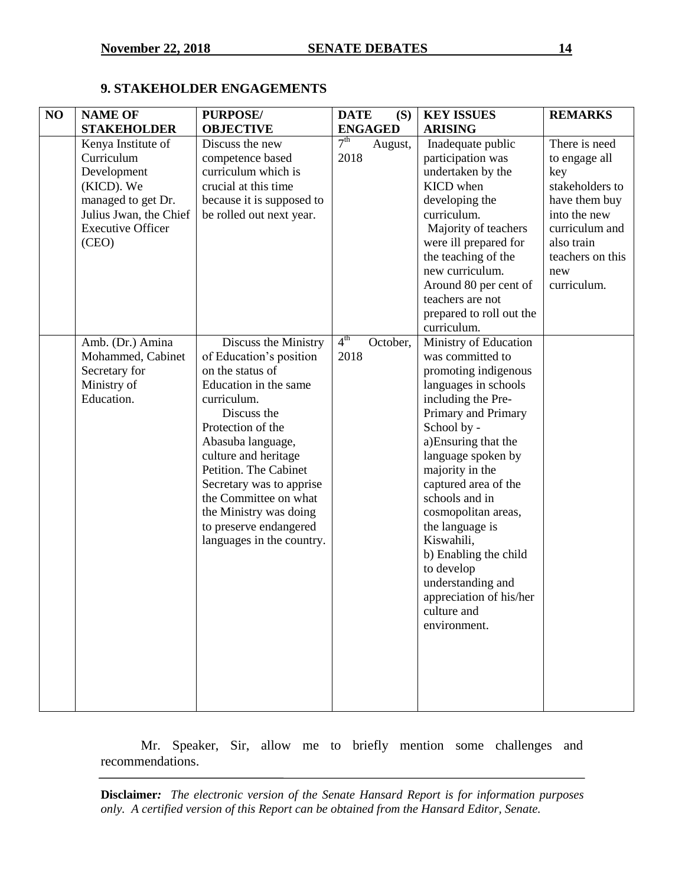# **9. STAKEHOLDER ENGAGEMENTS**

| NO | <b>NAME OF</b>           | <b>PURPOSE/</b>           | <b>DATE</b><br>(S)          | <b>KEY ISSUES</b>        | <b>REMARKS</b>   |
|----|--------------------------|---------------------------|-----------------------------|--------------------------|------------------|
|    | <b>STAKEHOLDER</b>       | <b>OBJECTIVE</b>          | <b>ENGAGED</b>              | <b>ARISING</b>           |                  |
|    | Kenya Institute of       | Discuss the new           | 7 <sup>th</sup><br>August,  | Inadequate public        | There is need    |
|    | Curriculum               | competence based          | 2018                        | participation was        | to engage all    |
|    | Development              | curriculum which is       |                             | undertaken by the        | key              |
|    | (KICD). We               | crucial at this time      |                             | KICD when                | stakeholders to  |
|    | managed to get Dr.       | because it is supposed to |                             | developing the           | have them buy    |
|    | Julius Jwan, the Chief   | be rolled out next year.  |                             | curriculum.              | into the new     |
|    | <b>Executive Officer</b> |                           |                             | Majority of teachers     | curriculum and   |
|    | (CEO)                    |                           |                             | were ill prepared for    | also train       |
|    |                          |                           |                             | the teaching of the      | teachers on this |
|    |                          |                           |                             | new curriculum.          | new              |
|    |                          |                           |                             | Around 80 per cent of    | curriculum.      |
|    |                          |                           |                             | teachers are not         |                  |
|    |                          |                           |                             | prepared to roll out the |                  |
|    |                          |                           |                             | curriculum.              |                  |
|    | Amb. (Dr.) Amina         | Discuss the Ministry      | 4 <sup>th</sup><br>October, | Ministry of Education    |                  |
|    | Mohammed, Cabinet        | of Education's position   | 2018                        | was committed to         |                  |
|    | Secretary for            | on the status of          |                             | promoting indigenous     |                  |
|    | Ministry of              | Education in the same     |                             | languages in schools     |                  |
|    | Education.               | curriculum.               |                             | including the Pre-       |                  |
|    |                          | Discuss the               |                             | Primary and Primary      |                  |
|    |                          | Protection of the         |                             | School by -              |                  |
|    |                          | Abasuba language,         |                             | a)Ensuring that the      |                  |
|    |                          | culture and heritage      |                             | language spoken by       |                  |
|    |                          | Petition. The Cabinet     |                             | majority in the          |                  |
|    |                          | Secretary was to apprise  |                             | captured area of the     |                  |
|    |                          | the Committee on what     |                             | schools and in           |                  |
|    |                          | the Ministry was doing    |                             | cosmopolitan areas,      |                  |
|    |                          | to preserve endangered    |                             | the language is          |                  |
|    |                          | languages in the country. |                             | Kiswahili,               |                  |
|    |                          |                           |                             | b) Enabling the child    |                  |
|    |                          |                           |                             | to develop               |                  |
|    |                          |                           |                             | understanding and        |                  |
|    |                          |                           |                             | appreciation of his/her  |                  |
|    |                          |                           |                             | culture and              |                  |
|    |                          |                           |                             | environment.             |                  |
|    |                          |                           |                             |                          |                  |
|    |                          |                           |                             |                          |                  |
|    |                          |                           |                             |                          |                  |
|    |                          |                           |                             |                          |                  |
|    |                          |                           |                             |                          |                  |
|    |                          |                           |                             |                          |                  |

Mr. Speaker, Sir, allow me to briefly mention some challenges and recommendations.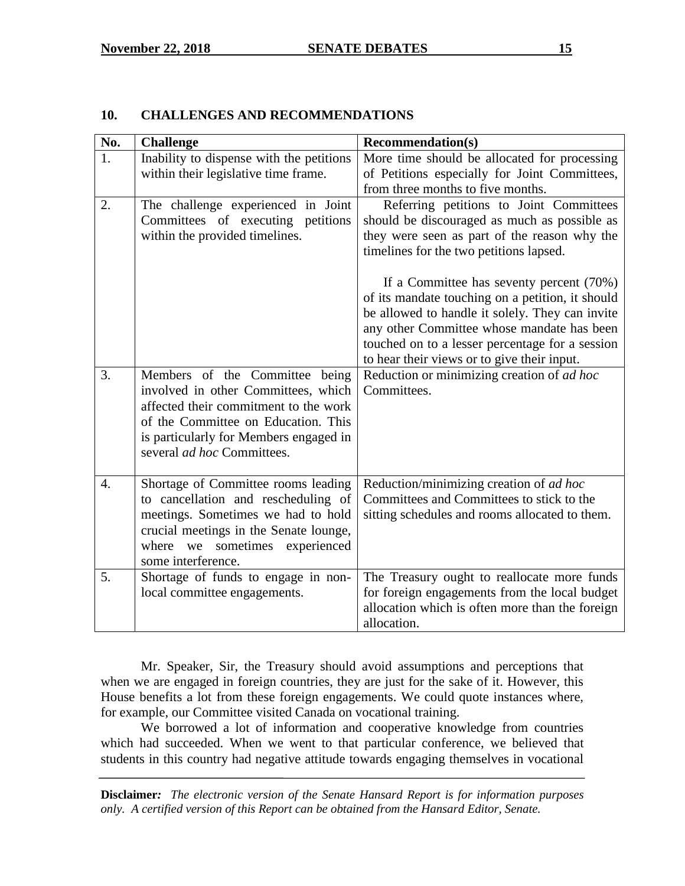# **10. CHALLENGES AND RECOMMENDATIONS**

| No.              | <b>Challenge</b>                                                                                                                                                                                                                     | <b>Recommendation(s)</b>                                                                                                                                                                                                                                                                                                                   |
|------------------|--------------------------------------------------------------------------------------------------------------------------------------------------------------------------------------------------------------------------------------|--------------------------------------------------------------------------------------------------------------------------------------------------------------------------------------------------------------------------------------------------------------------------------------------------------------------------------------------|
| 1.               | Inability to dispense with the petitions                                                                                                                                                                                             | More time should be allocated for processing                                                                                                                                                                                                                                                                                               |
|                  | within their legislative time frame.                                                                                                                                                                                                 | of Petitions especially for Joint Committees,                                                                                                                                                                                                                                                                                              |
|                  |                                                                                                                                                                                                                                      | from three months to five months.                                                                                                                                                                                                                                                                                                          |
| 2.               | The challenge experienced in Joint<br>Committees of executing petitions<br>within the provided timelines.                                                                                                                            | Referring petitions to Joint Committees<br>should be discouraged as much as possible as<br>they were seen as part of the reason why the                                                                                                                                                                                                    |
|                  |                                                                                                                                                                                                                                      | timelines for the two petitions lapsed.<br>If a Committee has seventy percent (70%)<br>of its mandate touching on a petition, it should<br>be allowed to handle it solely. They can invite<br>any other Committee whose mandate has been<br>touched on to a lesser percentage for a session<br>to hear their views or to give their input. |
| 3.               | Members of the Committee being<br>involved in other Committees, which<br>affected their commitment to the work<br>of the Committee on Education. This<br>is particularly for Members engaged in<br>several <i>ad hoc</i> Committees. | Reduction or minimizing creation of ad hoc<br>Committees.                                                                                                                                                                                                                                                                                  |
| $\overline{4}$ . | Shortage of Committee rooms leading<br>to cancellation and rescheduling of<br>meetings. Sometimes we had to hold<br>crucial meetings in the Senate lounge,<br>where we sometimes experienced<br>some interference.                   | Reduction/minimizing creation of ad hoc<br>Committees and Committees to stick to the<br>sitting schedules and rooms allocated to them.                                                                                                                                                                                                     |
| 5.               | Shortage of funds to engage in non-<br>local committee engagements.                                                                                                                                                                  | The Treasury ought to reallocate more funds<br>for foreign engagements from the local budget<br>allocation which is often more than the foreign<br>allocation.                                                                                                                                                                             |

Mr. Speaker, Sir, the Treasury should avoid assumptions and perceptions that when we are engaged in foreign countries, they are just for the sake of it. However, this House benefits a lot from these foreign engagements. We could quote instances where, for example, our Committee visited Canada on vocational training.

We borrowed a lot of information and cooperative knowledge from countries which had succeeded. When we went to that particular conference, we believed that students in this country had negative attitude towards engaging themselves in vocational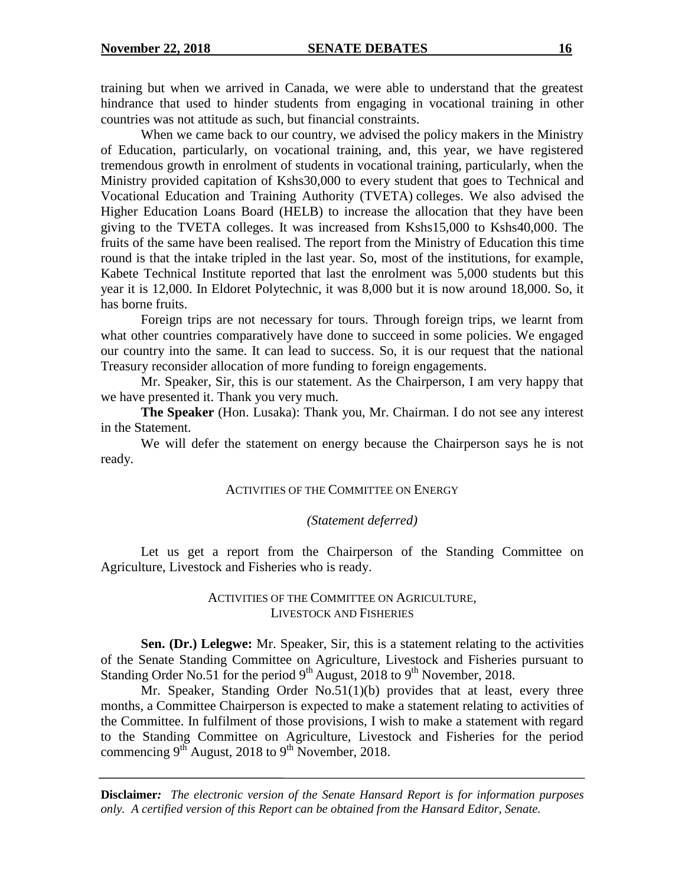training but when we arrived in Canada, we were able to understand that the greatest hindrance that used to hinder students from engaging in vocational training in other countries was not attitude as such, but financial constraints.

When we came back to our country, we advised the policy makers in the Ministry of Education, particularly, on vocational training, and, this year, we have registered tremendous growth in enrolment of students in vocational training, particularly, when the Ministry provided capitation of Kshs30,000 to every student that goes to Technical and Vocational Education and Training Authority (TVETA) colleges. We also advised the Higher Education Loans Board (HELB) to increase the allocation that they have been giving to the TVETA colleges. It was increased from Kshs15,000 to Kshs40,000. The fruits of the same have been realised. The report from the Ministry of Education this time round is that the intake tripled in the last year. So, most of the institutions, for example, Kabete Technical Institute reported that last the enrolment was 5,000 students but this year it is 12,000. In Eldoret Polytechnic, it was 8,000 but it is now around 18,000. So, it has borne fruits.

Foreign trips are not necessary for tours. Through foreign trips, we learnt from what other countries comparatively have done to succeed in some policies. We engaged our country into the same. It can lead to success. So, it is our request that the national Treasury reconsider allocation of more funding to foreign engagements.

Mr. Speaker, Sir, this is our statement. As the Chairperson, I am very happy that we have presented it. Thank you very much.

**The Speaker** (Hon. Lusaka): Thank you, Mr. Chairman. I do not see any interest in the Statement.

We will defer the statement on energy because the Chairperson says he is not ready.

#### ACTIVITIES OF THE COMMITTEE ON ENERGY

#### *(Statement deferred)*

Let us get a report from the Chairperson of the Standing Committee on Agriculture, Livestock and Fisheries who is ready.

#### ACTIVITIES OF THE COMMITTEE ON AGRICULTURE, LIVESTOCK AND FISHERIES

**Sen. (Dr.) Lelegwe:** Mr. Speaker, Sir, this is a statement relating to the activities of the Senate Standing Committee on Agriculture, Livestock and Fisheries pursuant to Standing Order No.51 for the period  $9<sup>th</sup>$  August, 2018 to  $9<sup>th</sup>$  November, 2018.

Mr. Speaker, Standing Order No.51(1)(b) provides that at least, every three months, a Committee Chairperson is expected to make a statement relating to activities of the Committee. In fulfilment of those provisions, I wish to make a statement with regard to the Standing Committee on Agriculture, Livestock and Fisheries for the period commencing  $9^{th}$  August, 2018 to  $9^{th}$  November, 2018.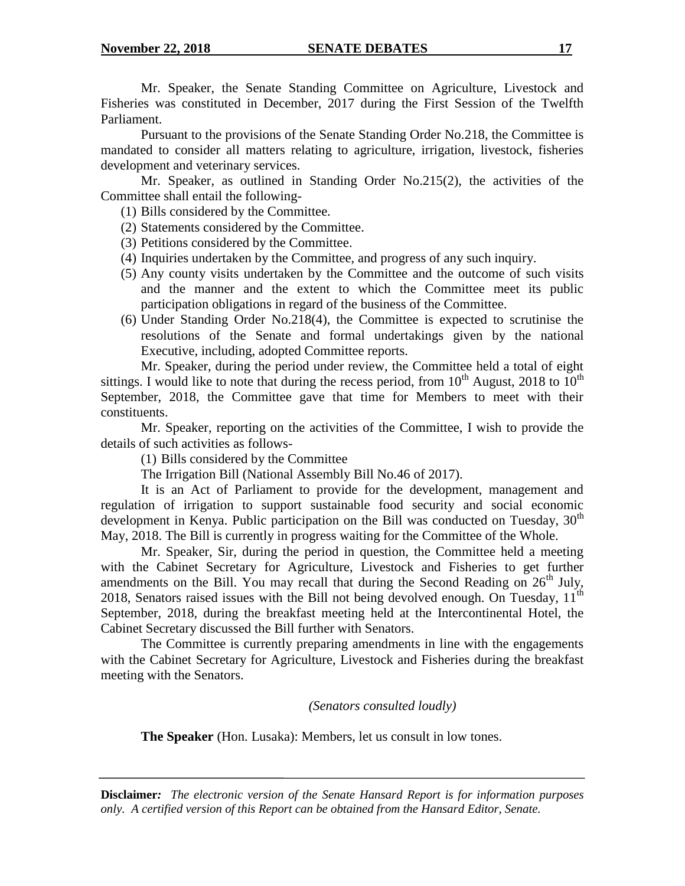Mr. Speaker, the Senate Standing Committee on Agriculture, Livestock and Fisheries was constituted in December, 2017 during the First Session of the Twelfth Parliament.

Pursuant to the provisions of the Senate Standing Order No.218, the Committee is mandated to consider all matters relating to agriculture, irrigation, livestock, fisheries development and veterinary services.

Mr. Speaker, as outlined in Standing Order No.215(2), the activities of the Committee shall entail the following-

(1) Bills considered by the Committee.

- (2) Statements considered by the Committee.
- (3) Petitions considered by the Committee.
- (4) Inquiries undertaken by the Committee, and progress of any such inquiry.
- (5) Any county visits undertaken by the Committee and the outcome of such visits and the manner and the extent to which the Committee meet its public participation obligations in regard of the business of the Committee.
- (6) Under Standing Order No.218(4), the Committee is expected to scrutinise the resolutions of the Senate and formal undertakings given by the national Executive, including, adopted Committee reports.

Mr. Speaker, during the period under review, the Committee held a total of eight sittings. I would like to note that during the recess period, from  $10^{th}$  August, 2018 to  $10^{th}$ September, 2018, the Committee gave that time for Members to meet with their constituents.

Mr. Speaker, reporting on the activities of the Committee, I wish to provide the details of such activities as follows-

(1) Bills considered by the Committee

The Irrigation Bill (National Assembly Bill No.46 of 2017).

It is an Act of Parliament to provide for the development, management and regulation of irrigation to support sustainable food security and social economic development in Kenya. Public participation on the Bill was conducted on Tuesday, 30<sup>th</sup> May, 2018. The Bill is currently in progress waiting for the Committee of the Whole.

Mr. Speaker, Sir, during the period in question, the Committee held a meeting with the Cabinet Secretary for Agriculture, Livestock and Fisheries to get further amendments on the Bill. You may recall that during the Second Reading on  $26<sup>th</sup>$  July, 2018, Senators raised issues with the Bill not being devolved enough. On Tuesday,  $11<sup>th</sup>$ September, 2018, during the breakfast meeting held at the Intercontinental Hotel, the Cabinet Secretary discussed the Bill further with Senators.

The Committee is currently preparing amendments in line with the engagements with the Cabinet Secretary for Agriculture, Livestock and Fisheries during the breakfast meeting with the Senators.

*(Senators consulted loudly)*

**The Speaker** (Hon. Lusaka): Members, let us consult in low tones.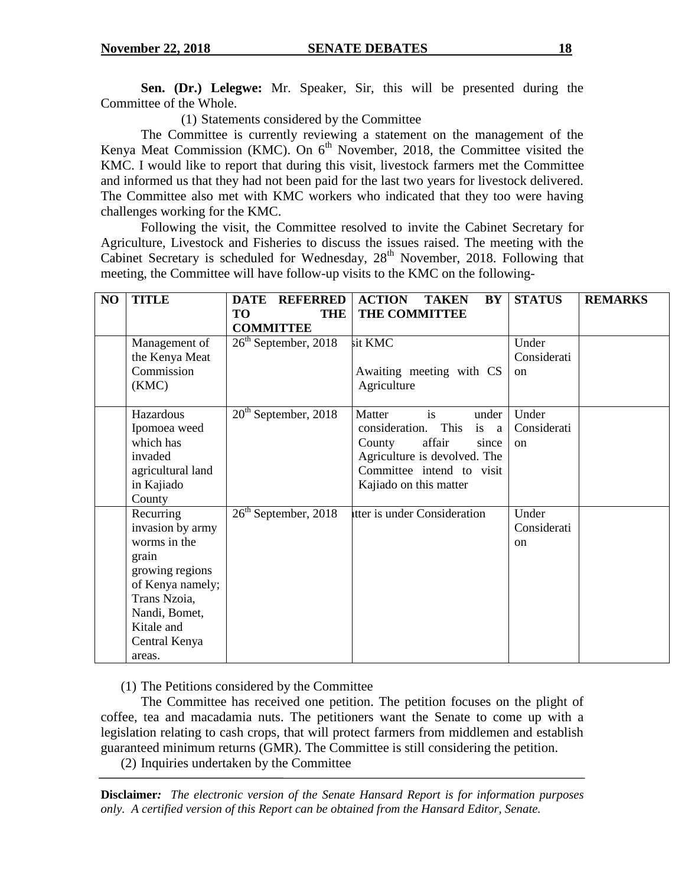**Sen. (Dr.) Lelegwe:** Mr. Speaker, Sir, this will be presented during the Committee of the Whole.

(1) Statements considered by the Committee

The Committee is currently reviewing a statement on the management of the Kenya Meat Commission (KMC). On  $6<sup>th</sup>$  November, 2018, the Committee visited the KMC. I would like to report that during this visit, livestock farmers met the Committee and informed us that they had not been paid for the last two years for livestock delivered. The Committee also met with KMC workers who indicated that they too were having challenges working for the KMC.

Following the visit, the Committee resolved to invite the Cabinet Secretary for Agriculture, Livestock and Fisheries to discuss the issues raised. The meeting with the Cabinet Secretary is scheduled for Wednesday,  $28<sup>th</sup>$  November, 2018. Following that meeting, the Committee will have follow-up visits to the KMC on the following-

| NO | <b>TITLE</b>                                                                                                                                                            | <b>DATE</b><br><b>REFERRED</b><br><b>TO</b><br><b>THE</b><br><b>COMMITTEE</b> | <b>ACTION</b><br><b>TAKEN</b><br><b>BY</b><br>THE COMMITTEE                                                                                                                 | <b>STATUS</b>                         | <b>REMARKS</b> |
|----|-------------------------------------------------------------------------------------------------------------------------------------------------------------------------|-------------------------------------------------------------------------------|-----------------------------------------------------------------------------------------------------------------------------------------------------------------------------|---------------------------------------|----------------|
|    | Management of<br>the Kenya Meat<br>Commission<br>(KMC)                                                                                                                  | $26th$ September, 2018                                                        | sit KMC<br>Awaiting meeting with CS<br>Agriculture                                                                                                                          | Under<br>Considerati<br>$_{\rm on}$   |                |
|    | Hazardous<br>Ipomoea weed<br>which has<br>invaded<br>agricultural land<br>in Kajiado<br>County                                                                          | $20th$ September, 2018                                                        | is<br>Matter<br>under<br>This<br>is a<br>consideration.<br>affair<br>County<br>since<br>Agriculture is devolved. The<br>Committee intend to visit<br>Kajiado on this matter | Under<br>Considerati<br><sub>on</sub> |                |
|    | Recurring<br>invasion by army<br>worms in the<br>grain<br>growing regions<br>of Kenya namely;<br>Trans Nzoia,<br>Nandi, Bomet,<br>Kitale and<br>Central Kenya<br>areas. | $26th$ September, 2018                                                        | tter is under Consideration                                                                                                                                                 | Under<br>Considerati<br><sub>on</sub> |                |

(1) The Petitions considered by the Committee

The Committee has received one petition. The petition focuses on the plight of coffee, tea and macadamia nuts. The petitioners want the Senate to come up with a legislation relating to cash crops, that will protect farmers from middlemen and establish guaranteed minimum returns (GMR). The Committee is still considering the petition.

(2) Inquiries undertaken by the Committee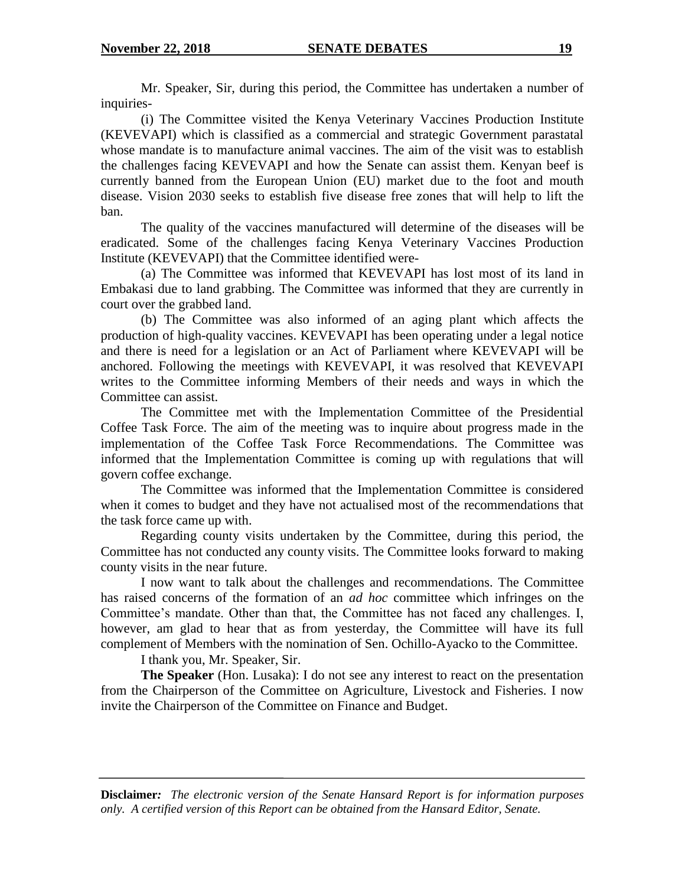Mr. Speaker, Sir, during this period, the Committee has undertaken a number of inquiries-

(i) The Committee visited the Kenya Veterinary Vaccines Production Institute (KEVEVAPI) which is classified as a commercial and strategic Government parastatal whose mandate is to manufacture animal vaccines. The aim of the visit was to establish the challenges facing KEVEVAPI and how the Senate can assist them. Kenyan beef is currently banned from the European Union (EU) market due to the foot and mouth disease. Vision 2030 seeks to establish five disease free zones that will help to lift the ban.

The quality of the vaccines manufactured will determine of the diseases will be eradicated. Some of the challenges facing Kenya Veterinary Vaccines Production Institute (KEVEVAPI) that the Committee identified were-

(a) The Committee was informed that KEVEVAPI has lost most of its land in Embakasi due to land grabbing. The Committee was informed that they are currently in court over the grabbed land.

(b) The Committee was also informed of an aging plant which affects the production of high-quality vaccines. KEVEVAPI has been operating under a legal notice and there is need for a legislation or an Act of Parliament where KEVEVAPI will be anchored. Following the meetings with KEVEVAPI, it was resolved that KEVEVAPI writes to the Committee informing Members of their needs and ways in which the Committee can assist.

The Committee met with the Implementation Committee of the Presidential Coffee Task Force. The aim of the meeting was to inquire about progress made in the implementation of the Coffee Task Force Recommendations. The Committee was informed that the Implementation Committee is coming up with regulations that will govern coffee exchange.

The Committee was informed that the Implementation Committee is considered when it comes to budget and they have not actualised most of the recommendations that the task force came up with.

Regarding county visits undertaken by the Committee, during this period, the Committee has not conducted any county visits. The Committee looks forward to making county visits in the near future.

I now want to talk about the challenges and recommendations. The Committee has raised concerns of the formation of an *ad hoc* committee which infringes on the Committee"s mandate. Other than that, the Committee has not faced any challenges. I, however, am glad to hear that as from yesterday, the Committee will have its full complement of Members with the nomination of Sen. Ochillo-Ayacko to the Committee.

I thank you, Mr. Speaker, Sir.

**The Speaker** (Hon. Lusaka): I do not see any interest to react on the presentation from the Chairperson of the Committee on Agriculture, Livestock and Fisheries. I now invite the Chairperson of the Committee on Finance and Budget.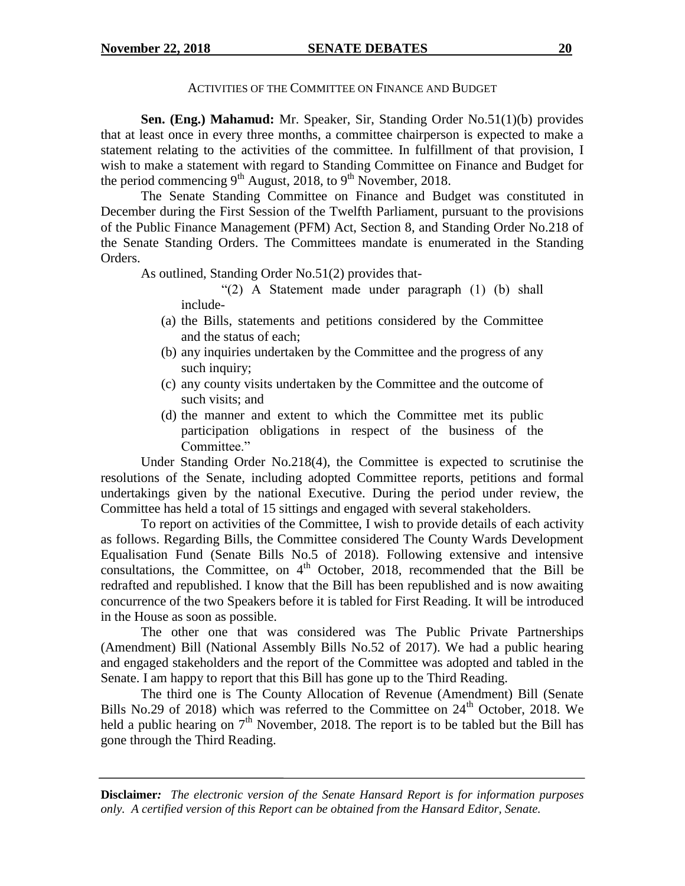#### ACTIVITIES OF THE COMMITTEE ON FINANCE AND BUDGET

**Sen. (Eng.) Mahamud:** Mr. Speaker, Sir, Standing Order No.51(1)(b) provides that at least once in every three months, a committee chairperson is expected to make a statement relating to the activities of the committee. In fulfillment of that provision, I wish to make a statement with regard to Standing Committee on Finance and Budget for the period commencing  $9^{th}$  August, 2018, to  $9^{th}$  November, 2018.

The Senate Standing Committee on Finance and Budget was constituted in December during the First Session of the Twelfth Parliament, pursuant to the provisions of the Public Finance Management (PFM) Act, Section 8, and Standing Order No.218 of the Senate Standing Orders. The Committees mandate is enumerated in the Standing Orders.

As outlined, Standing Order No.51(2) provides that-

"(2) A Statement made under paragraph (1) (b) shall include-

- (a) the Bills, statements and petitions considered by the Committee and the status of each;
- (b) any inquiries undertaken by the Committee and the progress of any such inquiry;
- (c) any county visits undertaken by the Committee and the outcome of such visits; and
- (d) the manner and extent to which the Committee met its public participation obligations in respect of the business of the Committee."

Under Standing Order No.218(4), the Committee is expected to scrutinise the resolutions of the Senate, including adopted Committee reports, petitions and formal undertakings given by the national Executive. During the period under review, the Committee has held a total of 15 sittings and engaged with several stakeholders.

To report on activities of the Committee, I wish to provide details of each activity as follows. Regarding Bills, the Committee considered The County Wards Development Equalisation Fund (Senate Bills No.5 of 2018). Following extensive and intensive consultations, the Committee, on  $4<sup>th</sup>$  October, 2018, recommended that the Bill be redrafted and republished. I know that the Bill has been republished and is now awaiting concurrence of the two Speakers before it is tabled for First Reading. It will be introduced in the House as soon as possible.

The other one that was considered was The Public Private Partnerships (Amendment) Bill (National Assembly Bills No.52 of 2017). We had a public hearing and engaged stakeholders and the report of the Committee was adopted and tabled in the Senate. I am happy to report that this Bill has gone up to the Third Reading.

The third one is The County Allocation of Revenue (Amendment) Bill (Senate Bills No.29 of 2018) which was referred to the Committee on  $24<sup>th</sup>$  October, 2018. We held a public hearing on  $7<sup>th</sup>$  November, 2018. The report is to be tabled but the Bill has gone through the Third Reading.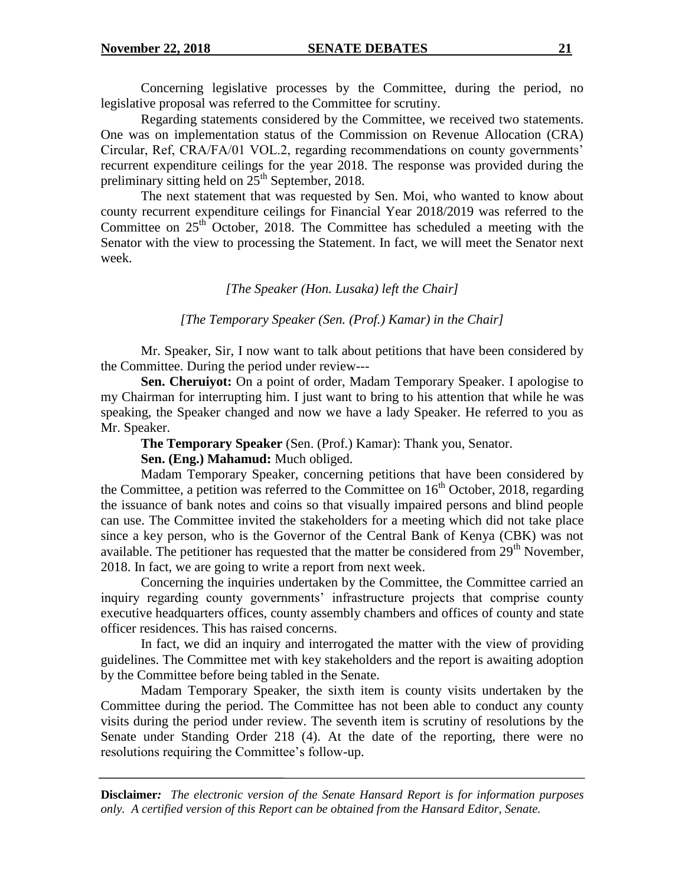Concerning legislative processes by the Committee, during the period, no legislative proposal was referred to the Committee for scrutiny.

Regarding statements considered by the Committee, we received two statements. One was on implementation status of the Commission on Revenue Allocation (CRA) Circular, Ref, CRA/FA/01 VOL.2, regarding recommendations on county governments" recurrent expenditure ceilings for the year 2018. The response was provided during the preliminary sitting held on  $25<sup>th</sup>$  September, 2018.

The next statement that was requested by Sen. Moi, who wanted to know about county recurrent expenditure ceilings for Financial Year 2018/2019 was referred to the Committee on  $25<sup>th</sup>$  October, 2018. The Committee has scheduled a meeting with the Senator with the view to processing the Statement. In fact, we will meet the Senator next week.

#### *[The Speaker (Hon. Lusaka) left the Chair]*

*[The Temporary Speaker (Sen. (Prof.) Kamar) in the Chair]*

Mr. Speaker, Sir, I now want to talk about petitions that have been considered by the Committee. During the period under review---

**Sen. Cheruiyot:** On a point of order, Madam Temporary Speaker. I apologise to my Chairman for interrupting him. I just want to bring to his attention that while he was speaking, the Speaker changed and now we have a lady Speaker. He referred to you as Mr. Speaker.

**The Temporary Speaker** (Sen. (Prof.) Kamar): Thank you, Senator.

**Sen. (Eng.) Mahamud:** Much obliged.

Madam Temporary Speaker, concerning petitions that have been considered by the Committee, a petition was referred to the Committee on  $16<sup>th</sup>$  October, 2018, regarding the issuance of bank notes and coins so that visually impaired persons and blind people can use. The Committee invited the stakeholders for a meeting which did not take place since a key person, who is the Governor of the Central Bank of Kenya (CBK) was not available. The petitioner has requested that the matter be considered from  $29<sup>th</sup>$  November, 2018. In fact, we are going to write a report from next week.

Concerning the inquiries undertaken by the Committee, the Committee carried an inquiry regarding county governments' infrastructure projects that comprise county executive headquarters offices, county assembly chambers and offices of county and state officer residences. This has raised concerns.

In fact, we did an inquiry and interrogated the matter with the view of providing guidelines. The Committee met with key stakeholders and the report is awaiting adoption by the Committee before being tabled in the Senate.

Madam Temporary Speaker, the sixth item is county visits undertaken by the Committee during the period. The Committee has not been able to conduct any county visits during the period under review. The seventh item is scrutiny of resolutions by the Senate under Standing Order 218 (4). At the date of the reporting, there were no resolutions requiring the Committee"s follow-up.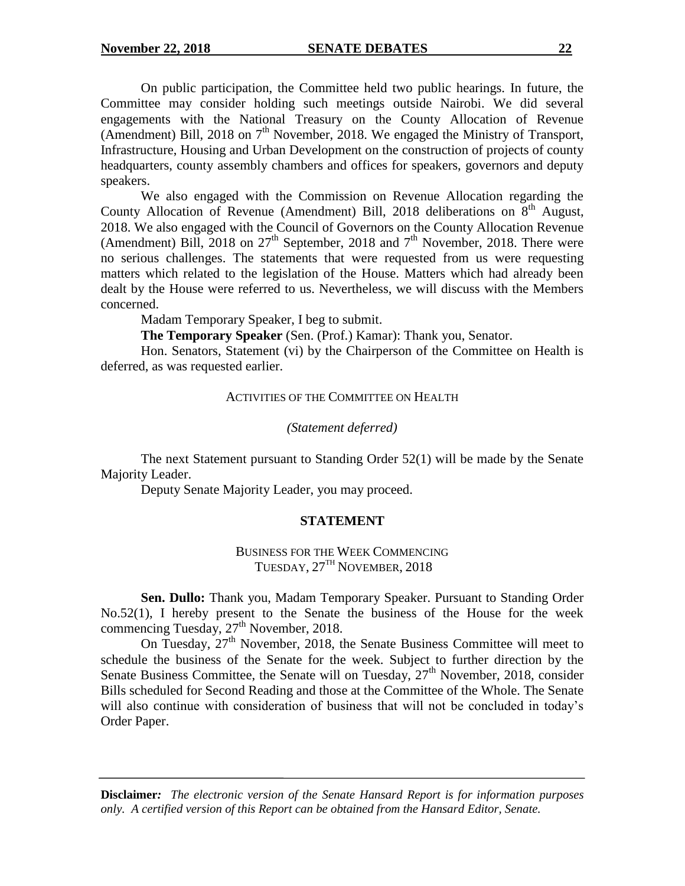On public participation, the Committee held two public hearings. In future, the Committee may consider holding such meetings outside Nairobi. We did several engagements with the National Treasury on the County Allocation of Revenue (Amendment) Bill, 2018 on  $7<sup>th</sup>$  November, 2018. We engaged the Ministry of Transport, Infrastructure, Housing and Urban Development on the construction of projects of county headquarters, county assembly chambers and offices for speakers, governors and deputy speakers.

We also engaged with the Commission on Revenue Allocation regarding the County Allocation of Revenue (Amendment) Bill, 2018 deliberations on 8<sup>th</sup> August, 2018. We also engaged with the Council of Governors on the County Allocation Revenue (Amendment) Bill, 2018 on  $27<sup>th</sup>$  September, 2018 and  $7<sup>th</sup>$  November, 2018. There were no serious challenges. The statements that were requested from us were requesting matters which related to the legislation of the House. Matters which had already been dealt by the House were referred to us. Nevertheless, we will discuss with the Members concerned.

Madam Temporary Speaker, I beg to submit.

**The Temporary Speaker** (Sen. (Prof.) Kamar): Thank you, Senator.

Hon. Senators, Statement (vi) by the Chairperson of the Committee on Health is deferred, as was requested earlier.

#### ACTIVITIES OF THE COMMITTEE ON HEALTH

#### *(Statement deferred)*

The next Statement pursuant to Standing Order 52(1) will be made by the Senate Majority Leader.

Deputy Senate Majority Leader, you may proceed.

#### **STATEMENT**

BUSINESS FOR THE WEEK COMMENCING TUESDAY,  $27<sup>TH</sup>$  NOVEMBER, 2018

**Sen. Dullo:** Thank you, Madam Temporary Speaker. Pursuant to Standing Order No.52(1), I hereby present to the Senate the business of the House for the week commencing Tuesday,  $27<sup>th</sup>$  November, 2018.

On Tuesday,  $27<sup>th</sup>$  November, 2018, the Senate Business Committee will meet to schedule the business of the Senate for the week. Subject to further direction by the Senate Business Committee, the Senate will on Tuesday,  $27<sup>th</sup>$  November, 2018, consider Bills scheduled for Second Reading and those at the Committee of the Whole. The Senate will also continue with consideration of business that will not be concluded in today's Order Paper.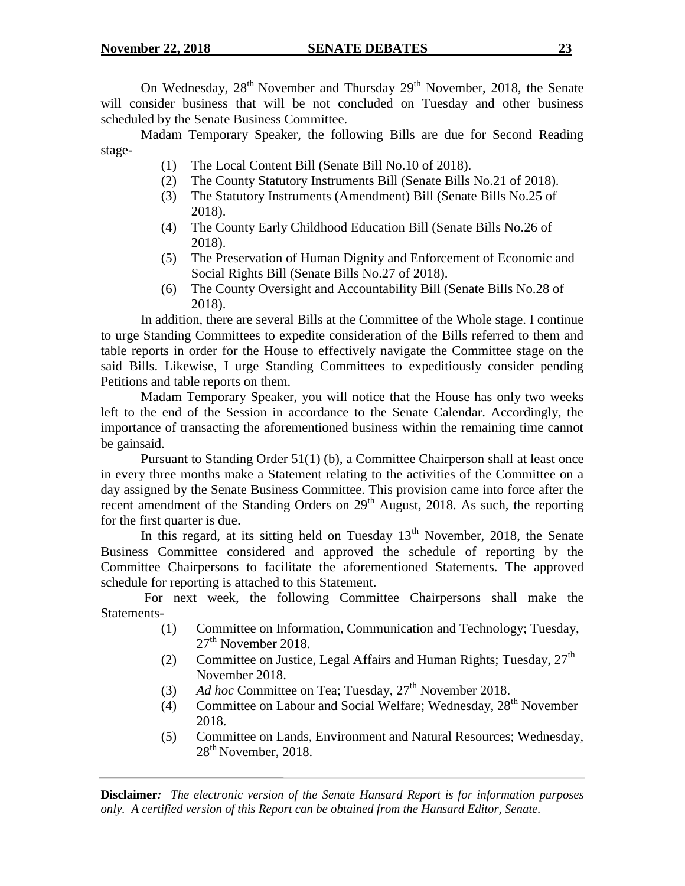On Wednesday,  $28^{th}$  November and Thursday  $29^{th}$  November, 2018, the Senate will consider business that will be not concluded on Tuesday and other business scheduled by the Senate Business Committee.

Madam Temporary Speaker, the following Bills are due for Second Reading stage-

- (1) The Local Content Bill (Senate Bill No.10 of 2018).
- (2) The County Statutory Instruments Bill (Senate Bills No.21 of 2018).
- (3) The Statutory Instruments (Amendment) Bill (Senate Bills No.25 of 2018).
- (4) The County Early Childhood Education Bill (Senate Bills No.26 of 2018).
- (5) The Preservation of Human Dignity and Enforcement of Economic and Social Rights Bill (Senate Bills No.27 of 2018).
- (6) The County Oversight and Accountability Bill (Senate Bills No.28 of 2018).

In addition, there are several Bills at the Committee of the Whole stage. I continue to urge Standing Committees to expedite consideration of the Bills referred to them and table reports in order for the House to effectively navigate the Committee stage on the said Bills. Likewise, I urge Standing Committees to expeditiously consider pending Petitions and table reports on them.

Madam Temporary Speaker, you will notice that the House has only two weeks left to the end of the Session in accordance to the Senate Calendar. Accordingly, the importance of transacting the aforementioned business within the remaining time cannot be gainsaid.

Pursuant to Standing Order 51(1) (b), a Committee Chairperson shall at least once in every three months make a Statement relating to the activities of the Committee on a day assigned by the Senate Business Committee. This provision came into force after the recent amendment of the Standing Orders on  $29<sup>th</sup>$  August, 2018. As such, the reporting for the first quarter is due.

In this regard, at its sitting held on Tuesday  $13<sup>th</sup>$  November, 2018, the Senate Business Committee considered and approved the schedule of reporting by the Committee Chairpersons to facilitate the aforementioned Statements. The approved schedule for reporting is attached to this Statement.

For next week, the following Committee Chairpersons shall make the Statements-

- (1) Committee on Information, Communication and Technology; Tuesday,  $27<sup>th</sup>$  November 2018.
- (2) Committee on Justice, Legal Affairs and Human Rights; Tuesday,  $27<sup>th</sup>$ November 2018.
- (3) Ad hoc Committee on Tea; Tuesday, 27<sup>th</sup> November 2018.
- (4) Committee on Labour and Social Welfare; Wednesday,  $28<sup>th</sup>$  November 2018.
- (5) Committee on Lands, Environment and Natural Resources; Wednesday, 28<sup>th</sup> November, 2018.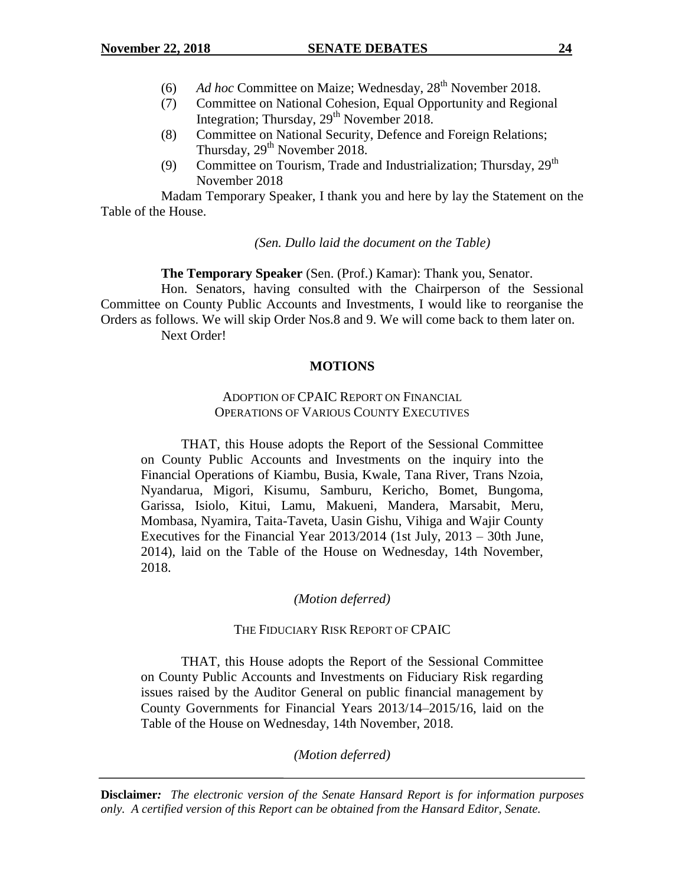- (6) Ad hoc Committee on Maize; Wednesday, 28<sup>th</sup> November 2018.
- (7) Committee on National Cohesion, Equal Opportunity and Regional Integration; Thursday, 29<sup>th</sup> November 2018.
- (8) Committee on National Security, Defence and Foreign Relations; Thursday, 29<sup>th</sup> November 2018.
- (9) Committee on Tourism, Trade and Industrialization; Thursday,  $29<sup>th</sup>$ November 2018

Madam Temporary Speaker, I thank you and here by lay the Statement on the Table of the House.

*(Sen. Dullo laid the document on the Table)*

**The Temporary Speaker** (Sen. (Prof.) Kamar): Thank you, Senator.

Hon. Senators, having consulted with the Chairperson of the Sessional Committee on County Public Accounts and Investments, I would like to reorganise the Orders as follows. We will skip Order Nos.8 and 9. We will come back to them later on. Next Order!

# **MOTIONS**

## ADOPTION OF CPAIC REPORT ON FINANCIAL OPERATIONS OF VARIOUS COUNTY EXECUTIVES

THAT, this House adopts the Report of the Sessional Committee on County Public Accounts and Investments on the inquiry into the Financial Operations of Kiambu, Busia, Kwale, Tana River, Trans Nzoia, Nyandarua, Migori, Kisumu, Samburu, Kericho, Bomet, Bungoma, Garissa, Isiolo, Kitui, Lamu, Makueni, Mandera, Marsabit, Meru, Mombasa, Nyamira, Taita-Taveta, Uasin Gishu, Vihiga and Wajir County Executives for the Financial Year 2013/2014 (1st July, 2013 – 30th June, 2014), laid on the Table of the House on Wednesday, 14th November, 2018.

### *(Motion deferred)*

### THE FIDUCIARY RISK REPORT OF CPAIC

THAT, this House adopts the Report of the Sessional Committee on County Public Accounts and Investments on Fiduciary Risk regarding issues raised by the Auditor General on public financial management by County Governments for Financial Years 2013/14–2015/16, laid on the Table of the House on Wednesday, 14th November, 2018.

*(Motion deferred)*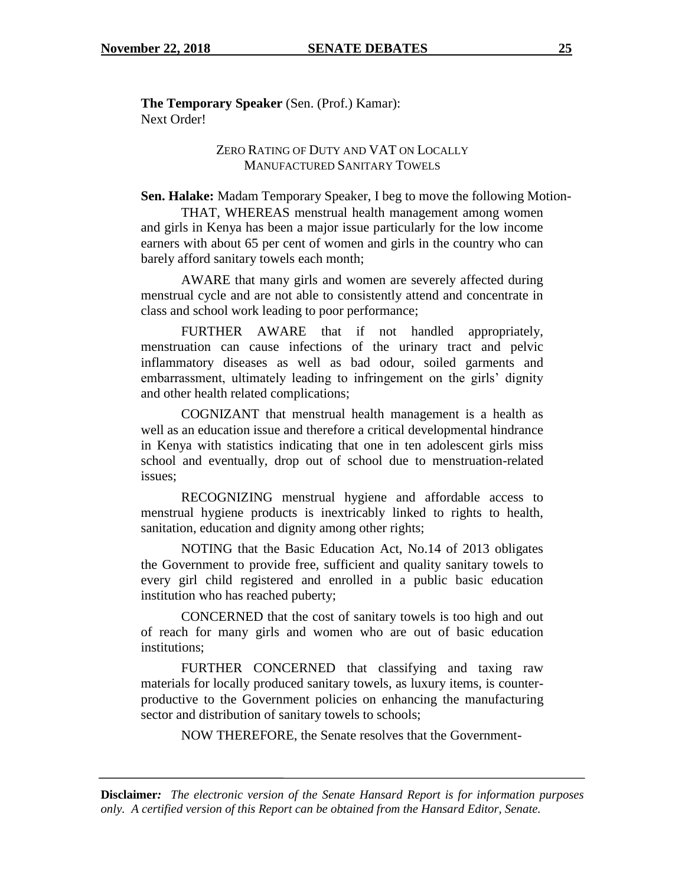**The Temporary Speaker** (Sen. (Prof.) Kamar): Next Order!

## ZERO RATING OF DUTY AND VAT ON LOCALLY MANUFACTURED SANITARY TOWELS

**Sen. Halake:** Madam Temporary Speaker, I beg to move the following Motion-

THAT, WHEREAS menstrual health management among women and girls in Kenya has been a major issue particularly for the low income earners with about 65 per cent of women and girls in the country who can barely afford sanitary towels each month;

AWARE that many girls and women are severely affected during menstrual cycle and are not able to consistently attend and concentrate in class and school work leading to poor performance;

FURTHER AWARE that if not handled appropriately, menstruation can cause infections of the urinary tract and pelvic inflammatory diseases as well as bad odour, soiled garments and embarrassment, ultimately leading to infringement on the girls' dignity and other health related complications;

COGNIZANT that menstrual health management is a health as well as an education issue and therefore a critical developmental hindrance in Kenya with statistics indicating that one in ten adolescent girls miss school and eventually, drop out of school due to menstruation-related issues;

RECOGNIZING menstrual hygiene and affordable access to menstrual hygiene products is inextricably linked to rights to health, sanitation, education and dignity among other rights;

NOTING that the Basic Education Act, No.14 of 2013 obligates the Government to provide free, sufficient and quality sanitary towels to every girl child registered and enrolled in a public basic education institution who has reached puberty;

CONCERNED that the cost of sanitary towels is too high and out of reach for many girls and women who are out of basic education institutions;

FURTHER CONCERNED that classifying and taxing raw materials for locally produced sanitary towels, as luxury items, is counterproductive to the Government policies on enhancing the manufacturing sector and distribution of sanitary towels to schools;

NOW THEREFORE, the Senate resolves that the Government-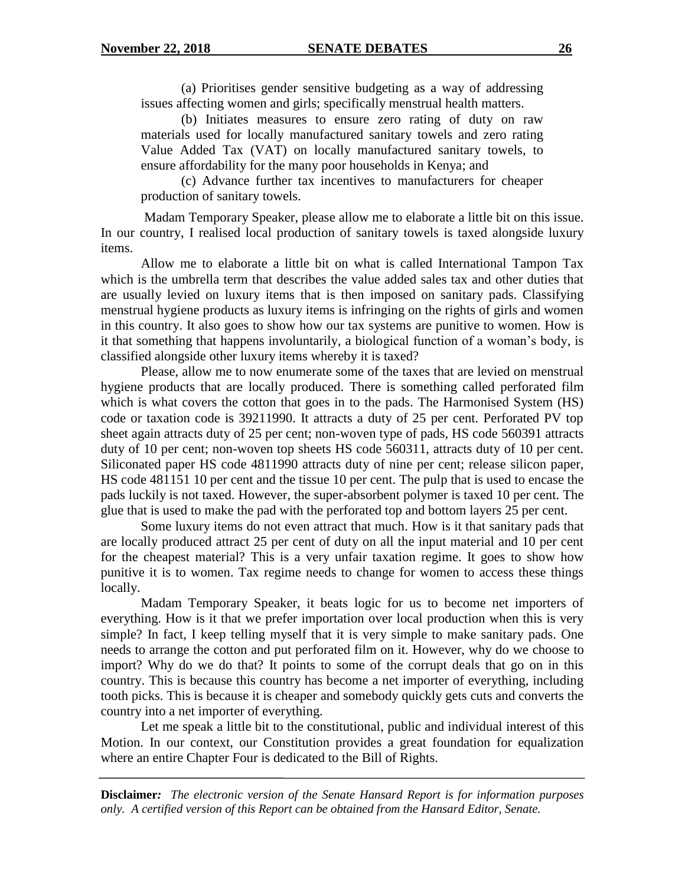(a) Prioritises gender sensitive budgeting as a way of addressing issues affecting women and girls; specifically menstrual health matters.

(b) Initiates measures to ensure zero rating of duty on raw materials used for locally manufactured sanitary towels and zero rating Value Added Tax (VAT) on locally manufactured sanitary towels, to ensure affordability for the many poor households in Kenya; and

(c) Advance further tax incentives to manufacturers for cheaper production of sanitary towels.

Madam Temporary Speaker, please allow me to elaborate a little bit on this issue. In our country, I realised local production of sanitary towels is taxed alongside luxury items.

Allow me to elaborate a little bit on what is called International Tampon Tax which is the umbrella term that describes the value added sales tax and other duties that are usually levied on luxury items that is then imposed on sanitary pads. Classifying menstrual hygiene products as luxury items is infringing on the rights of girls and women in this country. It also goes to show how our tax systems are punitive to women. How is it that something that happens involuntarily, a biological function of a woman"s body, is classified alongside other luxury items whereby it is taxed?

Please, allow me to now enumerate some of the taxes that are levied on menstrual hygiene products that are locally produced. There is something called perforated film which is what covers the cotton that goes in to the pads. The Harmonised System (HS) code or taxation code is 39211990. It attracts a duty of 25 per cent. Perforated PV top sheet again attracts duty of 25 per cent; non-woven type of pads, HS code 560391 attracts duty of 10 per cent; non-woven top sheets HS code 560311, attracts duty of 10 per cent. Siliconated paper HS code 4811990 attracts duty of nine per cent; release silicon paper, HS code 481151 10 per cent and the tissue 10 per cent. The pulp that is used to encase the pads luckily is not taxed. However, the super-absorbent polymer is taxed 10 per cent. The glue that is used to make the pad with the perforated top and bottom layers 25 per cent.

Some luxury items do not even attract that much. How is it that sanitary pads that are locally produced attract 25 per cent of duty on all the input material and 10 per cent for the cheapest material? This is a very unfair taxation regime. It goes to show how punitive it is to women. Tax regime needs to change for women to access these things locally.

Madam Temporary Speaker, it beats logic for us to become net importers of everything. How is it that we prefer importation over local production when this is very simple? In fact, I keep telling myself that it is very simple to make sanitary pads. One needs to arrange the cotton and put perforated film on it. However, why do we choose to import? Why do we do that? It points to some of the corrupt deals that go on in this country. This is because this country has become a net importer of everything, including tooth picks. This is because it is cheaper and somebody quickly gets cuts and converts the country into a net importer of everything.

Let me speak a little bit to the constitutional, public and individual interest of this Motion. In our context, our Constitution provides a great foundation for equalization where an entire Chapter Four is dedicated to the Bill of Rights.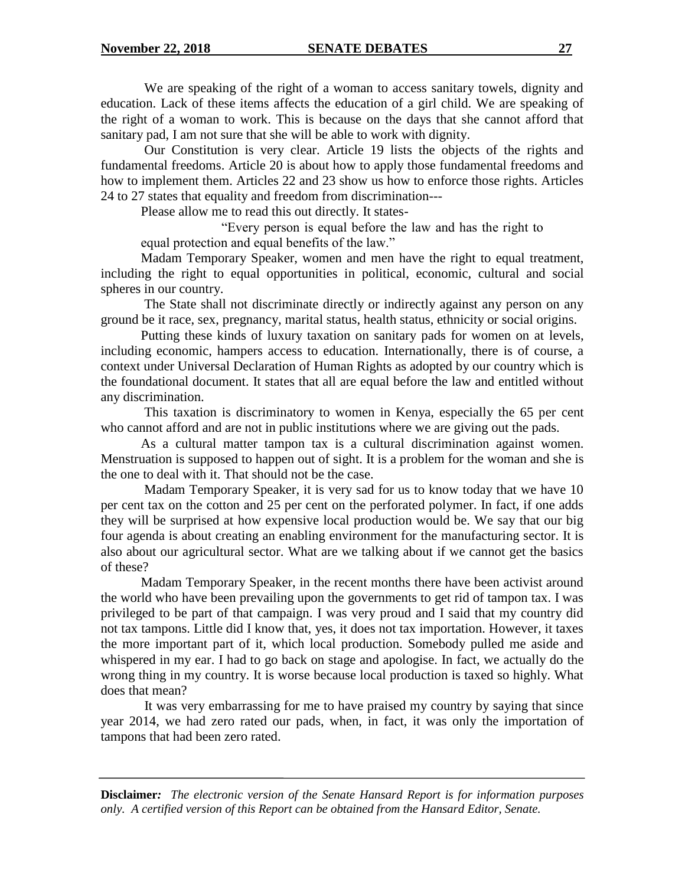We are speaking of the right of a woman to access sanitary towels, dignity and education. Lack of these items affects the education of a girl child. We are speaking of the right of a woman to work. This is because on the days that she cannot afford that sanitary pad, I am not sure that she will be able to work with dignity.

Our Constitution is very clear. Article 19 lists the objects of the rights and fundamental freedoms. Article 20 is about how to apply those fundamental freedoms and how to implement them. Articles 22 and 23 show us how to enforce those rights. Articles 24 to 27 states that equality and freedom from discrimination---

Please allow me to read this out directly. It states-

"Every person is equal before the law and has the right to equal protection and equal benefits of the law."

Madam Temporary Speaker, women and men have the right to equal treatment, including the right to equal opportunities in political, economic, cultural and social spheres in our country.

The State shall not discriminate directly or indirectly against any person on any ground be it race, sex, pregnancy, marital status, health status, ethnicity or social origins.

Putting these kinds of luxury taxation on sanitary pads for women on at levels, including economic, hampers access to education. Internationally, there is of course, a context under Universal Declaration of Human Rights as adopted by our country which is the foundational document. It states that all are equal before the law and entitled without any discrimination.

This taxation is discriminatory to women in Kenya, especially the 65 per cent who cannot afford and are not in public institutions where we are giving out the pads.

As a cultural matter tampon tax is a cultural discrimination against women. Menstruation is supposed to happen out of sight. It is a problem for the woman and she is the one to deal with it. That should not be the case.

Madam Temporary Speaker, it is very sad for us to know today that we have 10 per cent tax on the cotton and 25 per cent on the perforated polymer. In fact, if one adds they will be surprised at how expensive local production would be. We say that our big four agenda is about creating an enabling environment for the manufacturing sector. It is also about our agricultural sector. What are we talking about if we cannot get the basics of these?

Madam Temporary Speaker, in the recent months there have been activist around the world who have been prevailing upon the governments to get rid of tampon tax. I was privileged to be part of that campaign. I was very proud and I said that my country did not tax tampons. Little did I know that, yes, it does not tax importation. However, it taxes the more important part of it, which local production. Somebody pulled me aside and whispered in my ear. I had to go back on stage and apologise. In fact, we actually do the wrong thing in my country. It is worse because local production is taxed so highly. What does that mean?

It was very embarrassing for me to have praised my country by saying that since year 2014, we had zero rated our pads, when, in fact, it was only the importation of tampons that had been zero rated.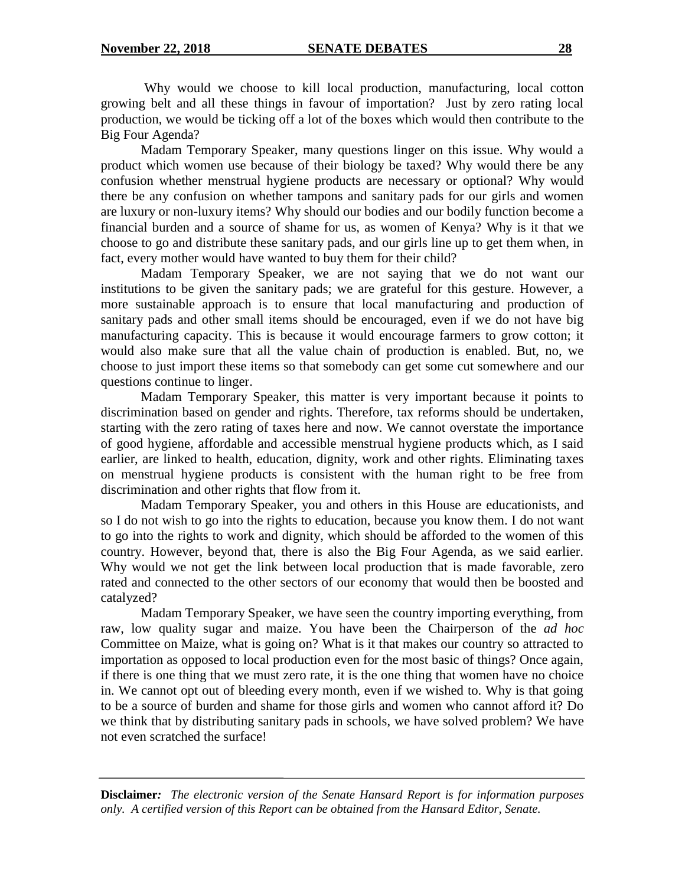Why would we choose to kill local production, manufacturing, local cotton growing belt and all these things in favour of importation? Just by zero rating local production, we would be ticking off a lot of the boxes which would then contribute to the Big Four Agenda?

Madam Temporary Speaker, many questions linger on this issue. Why would a product which women use because of their biology be taxed? Why would there be any confusion whether menstrual hygiene products are necessary or optional? Why would there be any confusion on whether tampons and sanitary pads for our girls and women are luxury or non-luxury items? Why should our bodies and our bodily function become a financial burden and a source of shame for us, as women of Kenya? Why is it that we choose to go and distribute these sanitary pads, and our girls line up to get them when, in fact, every mother would have wanted to buy them for their child?

Madam Temporary Speaker, we are not saying that we do not want our institutions to be given the sanitary pads; we are grateful for this gesture. However, a more sustainable approach is to ensure that local manufacturing and production of sanitary pads and other small items should be encouraged, even if we do not have big manufacturing capacity. This is because it would encourage farmers to grow cotton; it would also make sure that all the value chain of production is enabled. But, no, we choose to just import these items so that somebody can get some cut somewhere and our questions continue to linger.

Madam Temporary Speaker, this matter is very important because it points to discrimination based on gender and rights. Therefore, tax reforms should be undertaken, starting with the zero rating of taxes here and now. We cannot overstate the importance of good hygiene, affordable and accessible menstrual hygiene products which, as I said earlier, are linked to health, education, dignity, work and other rights. Eliminating taxes on menstrual hygiene products is consistent with the human right to be free from discrimination and other rights that flow from it.

Madam Temporary Speaker, you and others in this House are educationists, and so I do not wish to go into the rights to education, because you know them. I do not want to go into the rights to work and dignity, which should be afforded to the women of this country. However, beyond that, there is also the Big Four Agenda, as we said earlier. Why would we not get the link between local production that is made favorable, zero rated and connected to the other sectors of our economy that would then be boosted and catalyzed?

Madam Temporary Speaker, we have seen the country importing everything, from raw, low quality sugar and maize. You have been the Chairperson of the *ad hoc* Committee on Maize, what is going on? What is it that makes our country so attracted to importation as opposed to local production even for the most basic of things? Once again, if there is one thing that we must zero rate, it is the one thing that women have no choice in. We cannot opt out of bleeding every month, even if we wished to. Why is that going to be a source of burden and shame for those girls and women who cannot afford it? Do we think that by distributing sanitary pads in schools, we have solved problem? We have not even scratched the surface!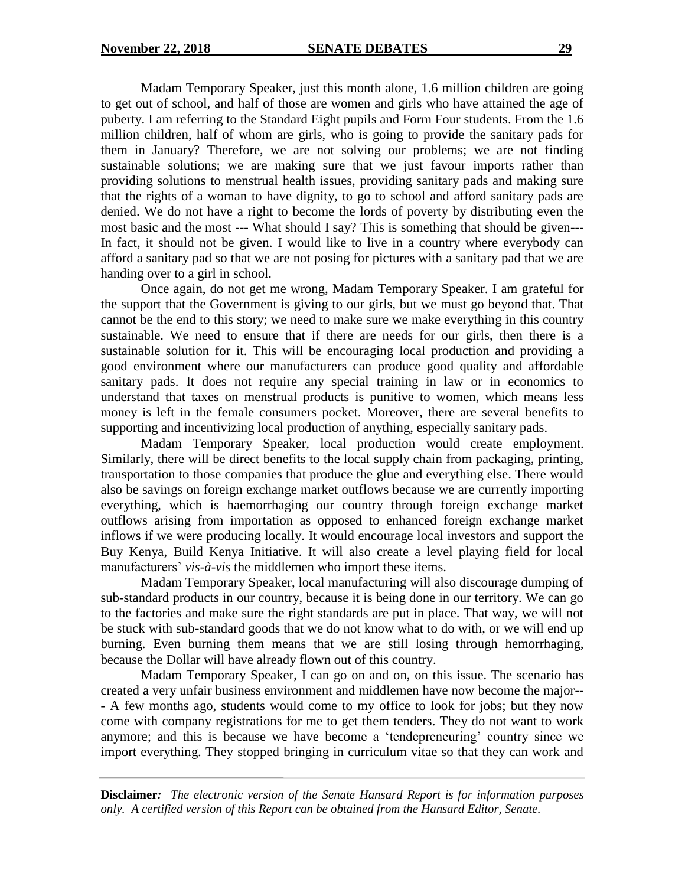Madam Temporary Speaker, just this month alone, 1.6 million children are going to get out of school, and half of those are women and girls who have attained the age of puberty. I am referring to the Standard Eight pupils and Form Four students. From the 1.6 million children, half of whom are girls, who is going to provide the sanitary pads for them in January? Therefore, we are not solving our problems; we are not finding sustainable solutions; we are making sure that we just favour imports rather than providing solutions to menstrual health issues, providing sanitary pads and making sure that the rights of a woman to have dignity, to go to school and afford sanitary pads are denied. We do not have a right to become the lords of poverty by distributing even the most basic and the most --- What should I say? This is something that should be given--- In fact, it should not be given. I would like to live in a country where everybody can afford a sanitary pad so that we are not posing for pictures with a sanitary pad that we are handing over to a girl in school.

Once again, do not get me wrong, Madam Temporary Speaker. I am grateful for the support that the Government is giving to our girls, but we must go beyond that. That cannot be the end to this story; we need to make sure we make everything in this country sustainable. We need to ensure that if there are needs for our girls, then there is a sustainable solution for it. This will be encouraging local production and providing a good environment where our manufacturers can produce good quality and affordable sanitary pads. It does not require any special training in law or in economics to understand that taxes on menstrual products is punitive to women, which means less money is left in the female consumers pocket. Moreover, there are several benefits to supporting and incentivizing local production of anything, especially sanitary pads.

Madam Temporary Speaker, local production would create employment. Similarly, there will be direct benefits to the local supply chain from packaging, printing, transportation to those companies that produce the glue and everything else. There would also be savings on foreign exchange market outflows because we are currently importing everything, which is haemorrhaging our country through foreign exchange market outflows arising from importation as opposed to enhanced foreign exchange market inflows if we were producing locally. It would encourage local investors and support the Buy Kenya, Build Kenya Initiative. It will also create a level playing field for local manufacturers" *vis-à-vis* the middlemen who import these items.

Madam Temporary Speaker, local manufacturing will also discourage dumping of sub-standard products in our country, because it is being done in our territory. We can go to the factories and make sure the right standards are put in place. That way, we will not be stuck with sub-standard goods that we do not know what to do with, or we will end up burning. Even burning them means that we are still losing through hemorrhaging, because the Dollar will have already flown out of this country.

Madam Temporary Speaker, I can go on and on, on this issue. The scenario has created a very unfair business environment and middlemen have now become the major-- - A few months ago, students would come to my office to look for jobs; but they now come with company registrations for me to get them tenders. They do not want to work anymore; and this is because we have become a "tendepreneuring" country since we import everything. They stopped bringing in curriculum vitae so that they can work and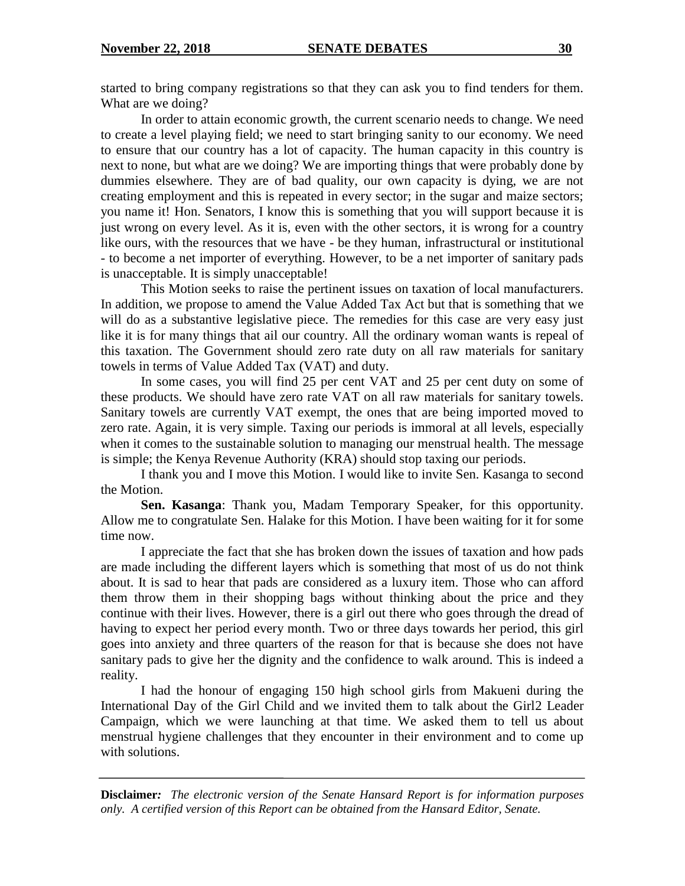started to bring company registrations so that they can ask you to find tenders for them. What are we doing?

In order to attain economic growth, the current scenario needs to change. We need to create a level playing field; we need to start bringing sanity to our economy. We need to ensure that our country has a lot of capacity. The human capacity in this country is next to none, but what are we doing? We are importing things that were probably done by dummies elsewhere. They are of bad quality, our own capacity is dying, we are not creating employment and this is repeated in every sector; in the sugar and maize sectors; you name it! Hon. Senators, I know this is something that you will support because it is just wrong on every level. As it is, even with the other sectors, it is wrong for a country like ours, with the resources that we have - be they human, infrastructural or institutional - to become a net importer of everything. However, to be a net importer of sanitary pads is unacceptable. It is simply unacceptable!

This Motion seeks to raise the pertinent issues on taxation of local manufacturers. In addition, we propose to amend the Value Added Tax Act but that is something that we will do as a substantive legislative piece. The remedies for this case are very easy just like it is for many things that ail our country. All the ordinary woman wants is repeal of this taxation. The Government should zero rate duty on all raw materials for sanitary towels in terms of Value Added Tax (VAT) and duty.

In some cases, you will find 25 per cent VAT and 25 per cent duty on some of these products. We should have zero rate VAT on all raw materials for sanitary towels. Sanitary towels are currently VAT exempt, the ones that are being imported moved to zero rate. Again, it is very simple. Taxing our periods is immoral at all levels, especially when it comes to the sustainable solution to managing our menstrual health. The message is simple; the Kenya Revenue Authority (KRA) should stop taxing our periods.

I thank you and I move this Motion. I would like to invite Sen. Kasanga to second the Motion.

**Sen. Kasanga**: Thank you, Madam Temporary Speaker, for this opportunity. Allow me to congratulate Sen. Halake for this Motion. I have been waiting for it for some time now.

I appreciate the fact that she has broken down the issues of taxation and how pads are made including the different layers which is something that most of us do not think about. It is sad to hear that pads are considered as a luxury item. Those who can afford them throw them in their shopping bags without thinking about the price and they continue with their lives. However, there is a girl out there who goes through the dread of having to expect her period every month. Two or three days towards her period, this girl goes into anxiety and three quarters of the reason for that is because she does not have sanitary pads to give her the dignity and the confidence to walk around. This is indeed a reality.

I had the honour of engaging 150 high school girls from Makueni during the International Day of the Girl Child and we invited them to talk about the Girl2 Leader Campaign, which we were launching at that time. We asked them to tell us about menstrual hygiene challenges that they encounter in their environment and to come up with solutions.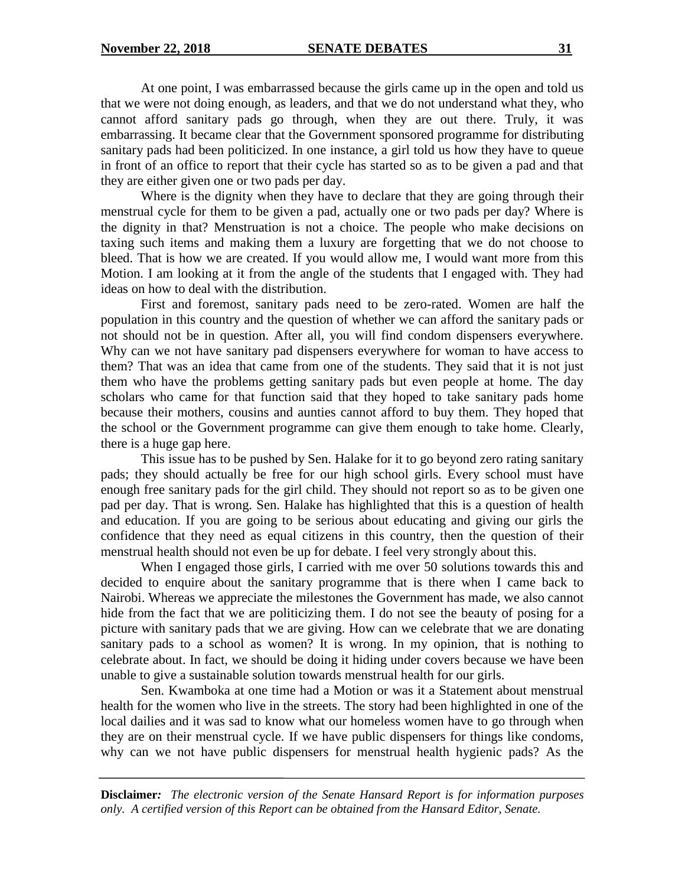At one point, I was embarrassed because the girls came up in the open and told us that we were not doing enough, as leaders, and that we do not understand what they, who cannot afford sanitary pads go through, when they are out there. Truly, it was embarrassing. It became clear that the Government sponsored programme for distributing sanitary pads had been politicized. In one instance, a girl told us how they have to queue in front of an office to report that their cycle has started so as to be given a pad and that they are either given one or two pads per day.

Where is the dignity when they have to declare that they are going through their menstrual cycle for them to be given a pad, actually one or two pads per day? Where is the dignity in that? Menstruation is not a choice. The people who make decisions on taxing such items and making them a luxury are forgetting that we do not choose to bleed. That is how we are created. If you would allow me, I would want more from this Motion. I am looking at it from the angle of the students that I engaged with. They had ideas on how to deal with the distribution.

First and foremost, sanitary pads need to be zero-rated. Women are half the population in this country and the question of whether we can afford the sanitary pads or not should not be in question. After all, you will find condom dispensers everywhere. Why can we not have sanitary pad dispensers everywhere for woman to have access to them? That was an idea that came from one of the students. They said that it is not just them who have the problems getting sanitary pads but even people at home. The day scholars who came for that function said that they hoped to take sanitary pads home because their mothers, cousins and aunties cannot afford to buy them. They hoped that the school or the Government programme can give them enough to take home. Clearly, there is a huge gap here.

This issue has to be pushed by Sen. Halake for it to go beyond zero rating sanitary pads; they should actually be free for our high school girls. Every school must have enough free sanitary pads for the girl child. They should not report so as to be given one pad per day. That is wrong. Sen. Halake has highlighted that this is a question of health and education. If you are going to be serious about educating and giving our girls the confidence that they need as equal citizens in this country, then the question of their menstrual health should not even be up for debate. I feel very strongly about this.

When I engaged those girls, I carried with me over 50 solutions towards this and decided to enquire about the sanitary programme that is there when I came back to Nairobi. Whereas we appreciate the milestones the Government has made, we also cannot hide from the fact that we are politicizing them. I do not see the beauty of posing for a picture with sanitary pads that we are giving. How can we celebrate that we are donating sanitary pads to a school as women? It is wrong. In my opinion, that is nothing to celebrate about. In fact, we should be doing it hiding under covers because we have been unable to give a sustainable solution towards menstrual health for our girls.

Sen. Kwamboka at one time had a Motion or was it a Statement about menstrual health for the women who live in the streets. The story had been highlighted in one of the local dailies and it was sad to know what our homeless women have to go through when they are on their menstrual cycle. If we have public dispensers for things like condoms, why can we not have public dispensers for menstrual health hygienic pads? As the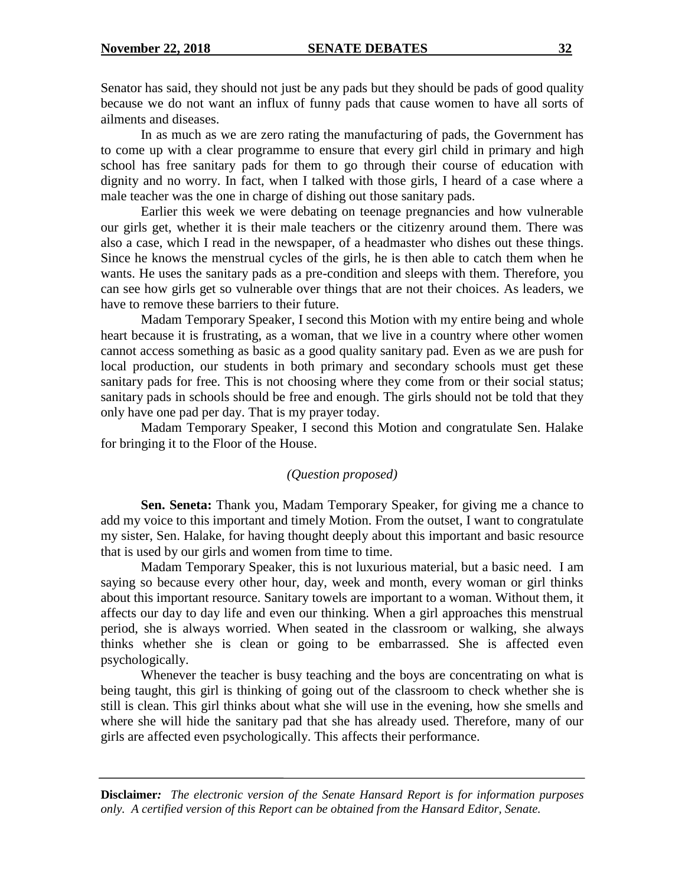Senator has said, they should not just be any pads but they should be pads of good quality because we do not want an influx of funny pads that cause women to have all sorts of ailments and diseases.

In as much as we are zero rating the manufacturing of pads, the Government has to come up with a clear programme to ensure that every girl child in primary and high school has free sanitary pads for them to go through their course of education with dignity and no worry. In fact, when I talked with those girls, I heard of a case where a male teacher was the one in charge of dishing out those sanitary pads.

Earlier this week we were debating on teenage pregnancies and how vulnerable our girls get, whether it is their male teachers or the citizenry around them. There was also a case, which I read in the newspaper, of a headmaster who dishes out these things. Since he knows the menstrual cycles of the girls, he is then able to catch them when he wants. He uses the sanitary pads as a pre-condition and sleeps with them. Therefore, you can see how girls get so vulnerable over things that are not their choices. As leaders, we have to remove these barriers to their future.

Madam Temporary Speaker, I second this Motion with my entire being and whole heart because it is frustrating, as a woman, that we live in a country where other women cannot access something as basic as a good quality sanitary pad. Even as we are push for local production, our students in both primary and secondary schools must get these sanitary pads for free. This is not choosing where they come from or their social status; sanitary pads in schools should be free and enough. The girls should not be told that they only have one pad per day. That is my prayer today.

Madam Temporary Speaker, I second this Motion and congratulate Sen. Halake for bringing it to the Floor of the House.

# *(Question proposed)*

**Sen. Seneta:** Thank you, Madam Temporary Speaker, for giving me a chance to add my voice to this important and timely Motion. From the outset, I want to congratulate my sister, Sen. Halake, for having thought deeply about this important and basic resource that is used by our girls and women from time to time.

Madam Temporary Speaker, this is not luxurious material, but a basic need. I am saying so because every other hour, day, week and month, every woman or girl thinks about this important resource. Sanitary towels are important to a woman. Without them, it affects our day to day life and even our thinking. When a girl approaches this menstrual period, she is always worried. When seated in the classroom or walking, she always thinks whether she is clean or going to be embarrassed. She is affected even psychologically.

Whenever the teacher is busy teaching and the boys are concentrating on what is being taught, this girl is thinking of going out of the classroom to check whether she is still is clean. This girl thinks about what she will use in the evening, how she smells and where she will hide the sanitary pad that she has already used. Therefore, many of our girls are affected even psychologically. This affects their performance.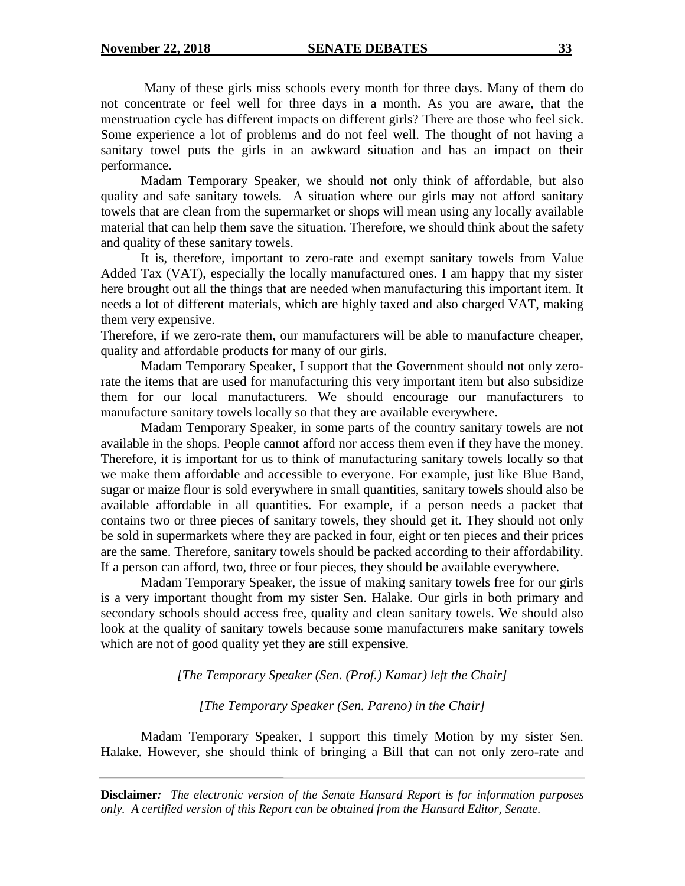Many of these girls miss schools every month for three days. Many of them do not concentrate or feel well for three days in a month. As you are aware, that the menstruation cycle has different impacts on different girls? There are those who feel sick. Some experience a lot of problems and do not feel well. The thought of not having a sanitary towel puts the girls in an awkward situation and has an impact on their performance.

Madam Temporary Speaker, we should not only think of affordable, but also quality and safe sanitary towels. A situation where our girls may not afford sanitary towels that are clean from the supermarket or shops will mean using any locally available material that can help them save the situation. Therefore, we should think about the safety and quality of these sanitary towels.

It is, therefore, important to zero-rate and exempt sanitary towels from Value Added Tax (VAT), especially the locally manufactured ones. I am happy that my sister here brought out all the things that are needed when manufacturing this important item. It needs a lot of different materials, which are highly taxed and also charged VAT, making them very expensive.

Therefore, if we zero-rate them, our manufacturers will be able to manufacture cheaper, quality and affordable products for many of our girls.

Madam Temporary Speaker, I support that the Government should not only zerorate the items that are used for manufacturing this very important item but also subsidize them for our local manufacturers. We should encourage our manufacturers to manufacture sanitary towels locally so that they are available everywhere.

Madam Temporary Speaker, in some parts of the country sanitary towels are not available in the shops. People cannot afford nor access them even if they have the money. Therefore, it is important for us to think of manufacturing sanitary towels locally so that we make them affordable and accessible to everyone. For example, just like Blue Band, sugar or maize flour is sold everywhere in small quantities, sanitary towels should also be available affordable in all quantities. For example, if a person needs a packet that contains two or three pieces of sanitary towels, they should get it. They should not only be sold in supermarkets where they are packed in four, eight or ten pieces and their prices are the same. Therefore, sanitary towels should be packed according to their affordability. If a person can afford, two, three or four pieces, they should be available everywhere.

Madam Temporary Speaker, the issue of making sanitary towels free for our girls is a very important thought from my sister Sen. Halake. Our girls in both primary and secondary schools should access free, quality and clean sanitary towels. We should also look at the quality of sanitary towels because some manufacturers make sanitary towels which are not of good quality yet they are still expensive.

*[The Temporary Speaker (Sen. (Prof.) Kamar) left the Chair]*

*[The Temporary Speaker (Sen. Pareno) in the Chair]*

Madam Temporary Speaker, I support this timely Motion by my sister Sen. Halake. However, she should think of bringing a Bill that can not only zero-rate and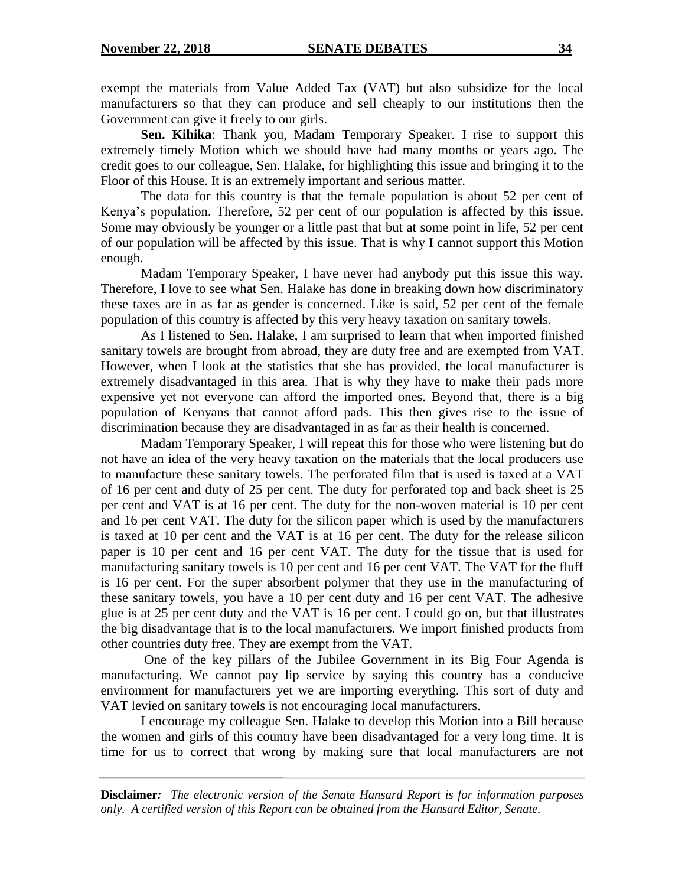exempt the materials from Value Added Tax (VAT) but also subsidize for the local manufacturers so that they can produce and sell cheaply to our institutions then the Government can give it freely to our girls.

**Sen. Kihika**: Thank you, Madam Temporary Speaker. I rise to support this extremely timely Motion which we should have had many months or years ago. The credit goes to our colleague, Sen. Halake, for highlighting this issue and bringing it to the Floor of this House. It is an extremely important and serious matter.

The data for this country is that the female population is about 52 per cent of Kenya"s population. Therefore, 52 per cent of our population is affected by this issue. Some may obviously be younger or a little past that but at some point in life, 52 per cent of our population will be affected by this issue. That is why I cannot support this Motion enough.

Madam Temporary Speaker, I have never had anybody put this issue this way. Therefore, I love to see what Sen. Halake has done in breaking down how discriminatory these taxes are in as far as gender is concerned. Like is said, 52 per cent of the female population of this country is affected by this very heavy taxation on sanitary towels.

As I listened to Sen. Halake, I am surprised to learn that when imported finished sanitary towels are brought from abroad, they are duty free and are exempted from VAT. However, when I look at the statistics that she has provided, the local manufacturer is extremely disadvantaged in this area. That is why they have to make their pads more expensive yet not everyone can afford the imported ones. Beyond that, there is a big population of Kenyans that cannot afford pads. This then gives rise to the issue of discrimination because they are disadvantaged in as far as their health is concerned.

Madam Temporary Speaker, I will repeat this for those who were listening but do not have an idea of the very heavy taxation on the materials that the local producers use to manufacture these sanitary towels. The perforated film that is used is taxed at a VAT of 16 per cent and duty of 25 per cent. The duty for perforated top and back sheet is 25 per cent and VAT is at 16 per cent. The duty for the non-woven material is 10 per cent and 16 per cent VAT. The duty for the silicon paper which is used by the manufacturers is taxed at 10 per cent and the VAT is at 16 per cent. The duty for the release silicon paper is 10 per cent and 16 per cent VAT. The duty for the tissue that is used for manufacturing sanitary towels is 10 per cent and 16 per cent VAT. The VAT for the fluff is 16 per cent. For the super absorbent polymer that they use in the manufacturing of these sanitary towels, you have a 10 per cent duty and 16 per cent VAT. The adhesive glue is at 25 per cent duty and the VAT is 16 per cent. I could go on, but that illustrates the big disadvantage that is to the local manufacturers. We import finished products from other countries duty free. They are exempt from the VAT.

One of the key pillars of the Jubilee Government in its Big Four Agenda is manufacturing. We cannot pay lip service by saying this country has a conducive environment for manufacturers yet we are importing everything. This sort of duty and VAT levied on sanitary towels is not encouraging local manufacturers.

I encourage my colleague Sen. Halake to develop this Motion into a Bill because the women and girls of this country have been disadvantaged for a very long time. It is time for us to correct that wrong by making sure that local manufacturers are not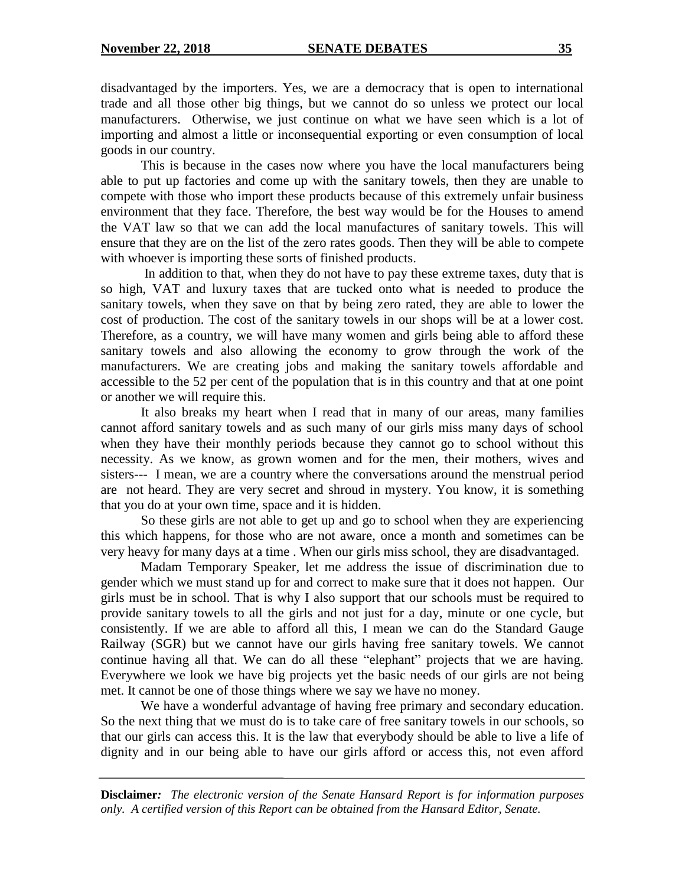disadvantaged by the importers. Yes, we are a democracy that is open to international trade and all those other big things, but we cannot do so unless we protect our local manufacturers. Otherwise, we just continue on what we have seen which is a lot of importing and almost a little or inconsequential exporting or even consumption of local goods in our country.

This is because in the cases now where you have the local manufacturers being able to put up factories and come up with the sanitary towels, then they are unable to compete with those who import these products because of this extremely unfair business environment that they face. Therefore, the best way would be for the Houses to amend the VAT law so that we can add the local manufactures of sanitary towels. This will ensure that they are on the list of the zero rates goods. Then they will be able to compete with whoever is importing these sorts of finished products.

In addition to that, when they do not have to pay these extreme taxes, duty that is so high, VAT and luxury taxes that are tucked onto what is needed to produce the sanitary towels, when they save on that by being zero rated, they are able to lower the cost of production. The cost of the sanitary towels in our shops will be at a lower cost. Therefore, as a country, we will have many women and girls being able to afford these sanitary towels and also allowing the economy to grow through the work of the manufacturers. We are creating jobs and making the sanitary towels affordable and accessible to the 52 per cent of the population that is in this country and that at one point or another we will require this.

It also breaks my heart when I read that in many of our areas, many families cannot afford sanitary towels and as such many of our girls miss many days of school when they have their monthly periods because they cannot go to school without this necessity. As we know, as grown women and for the men, their mothers, wives and sisters--- I mean, we are a country where the conversations around the menstrual period are not heard. They are very secret and shroud in mystery. You know, it is something that you do at your own time, space and it is hidden.

So these girls are not able to get up and go to school when they are experiencing this which happens, for those who are not aware, once a month and sometimes can be very heavy for many days at a time . When our girls miss school, they are disadvantaged.

Madam Temporary Speaker, let me address the issue of discrimination due to gender which we must stand up for and correct to make sure that it does not happen. Our girls must be in school. That is why I also support that our schools must be required to provide sanitary towels to all the girls and not just for a day, minute or one cycle, but consistently. If we are able to afford all this, I mean we can do the Standard Gauge Railway (SGR) but we cannot have our girls having free sanitary towels. We cannot continue having all that. We can do all these "elephant" projects that we are having. Everywhere we look we have big projects yet the basic needs of our girls are not being met. It cannot be one of those things where we say we have no money.

We have a wonderful advantage of having free primary and secondary education. So the next thing that we must do is to take care of free sanitary towels in our schools, so that our girls can access this. It is the law that everybody should be able to live a life of dignity and in our being able to have our girls afford or access this, not even afford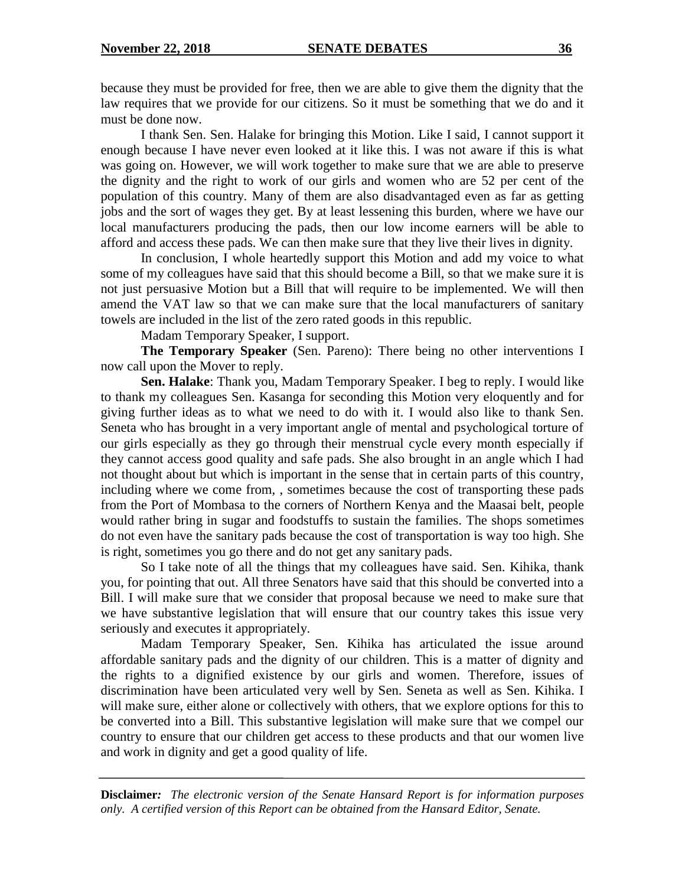because they must be provided for free, then we are able to give them the dignity that the law requires that we provide for our citizens. So it must be something that we do and it must be done now.

I thank Sen. Sen. Halake for bringing this Motion. Like I said, I cannot support it enough because I have never even looked at it like this. I was not aware if this is what was going on. However, we will work together to make sure that we are able to preserve the dignity and the right to work of our girls and women who are 52 per cent of the population of this country. Many of them are also disadvantaged even as far as getting jobs and the sort of wages they get. By at least lessening this burden, where we have our local manufacturers producing the pads, then our low income earners will be able to afford and access these pads. We can then make sure that they live their lives in dignity.

In conclusion, I whole heartedly support this Motion and add my voice to what some of my colleagues have said that this should become a Bill, so that we make sure it is not just persuasive Motion but a Bill that will require to be implemented. We will then amend the VAT law so that we can make sure that the local manufacturers of sanitary towels are included in the list of the zero rated goods in this republic.

Madam Temporary Speaker, I support.

**The Temporary Speaker** (Sen. Pareno): There being no other interventions I now call upon the Mover to reply.

**Sen. Halake**: Thank you, Madam Temporary Speaker. I beg to reply. I would like to thank my colleagues Sen. Kasanga for seconding this Motion very eloquently and for giving further ideas as to what we need to do with it. I would also like to thank Sen. Seneta who has brought in a very important angle of mental and psychological torture of our girls especially as they go through their menstrual cycle every month especially if they cannot access good quality and safe pads. She also brought in an angle which I had not thought about but which is important in the sense that in certain parts of this country, including where we come from, , sometimes because the cost of transporting these pads from the Port of Mombasa to the corners of Northern Kenya and the Maasai belt, people would rather bring in sugar and foodstuffs to sustain the families. The shops sometimes do not even have the sanitary pads because the cost of transportation is way too high. She is right, sometimes you go there and do not get any sanitary pads.

So I take note of all the things that my colleagues have said. Sen. Kihika, thank you, for pointing that out. All three Senators have said that this should be converted into a Bill. I will make sure that we consider that proposal because we need to make sure that we have substantive legislation that will ensure that our country takes this issue very seriously and executes it appropriately.

Madam Temporary Speaker, Sen. Kihika has articulated the issue around affordable sanitary pads and the dignity of our children. This is a matter of dignity and the rights to a dignified existence by our girls and women. Therefore, issues of discrimination have been articulated very well by Sen. Seneta as well as Sen. Kihika. I will make sure, either alone or collectively with others, that we explore options for this to be converted into a Bill. This substantive legislation will make sure that we compel our country to ensure that our children get access to these products and that our women live and work in dignity and get a good quality of life.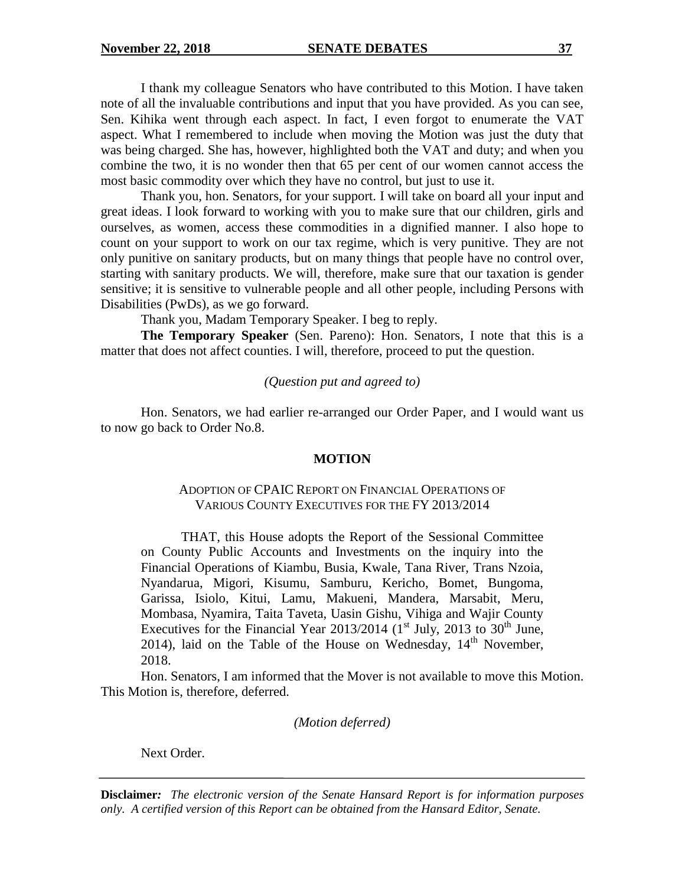I thank my colleague Senators who have contributed to this Motion. I have taken note of all the invaluable contributions and input that you have provided. As you can see, Sen. Kihika went through each aspect. In fact, I even forgot to enumerate the VAT aspect. What I remembered to include when moving the Motion was just the duty that was being charged. She has, however, highlighted both the VAT and duty; and when you combine the two, it is no wonder then that 65 per cent of our women cannot access the most basic commodity over which they have no control, but just to use it.

Thank you, hon. Senators, for your support. I will take on board all your input and great ideas. I look forward to working with you to make sure that our children, girls and ourselves, as women, access these commodities in a dignified manner. I also hope to count on your support to work on our tax regime, which is very punitive. They are not only punitive on sanitary products, but on many things that people have no control over, starting with sanitary products. We will, therefore, make sure that our taxation is gender sensitive; it is sensitive to vulnerable people and all other people, including Persons with Disabilities (PwDs), as we go forward.

Thank you, Madam Temporary Speaker. I beg to reply.

**The Temporary Speaker** (Sen. Pareno): Hon. Senators, I note that this is a matter that does not affect counties. I will, therefore, proceed to put the question.

#### *(Question put and agreed to)*

Hon. Senators, we had earlier re-arranged our Order Paper, and I would want us to now go back to Order No.8.

#### **MOTION**

#### ADOPTION OF CPAIC REPORT ON FINANCIAL OPERATIONS OF VARIOUS COUNTY EXECUTIVES FOR THE FY 2013/2014

THAT, this House adopts the Report of the Sessional Committee on County Public Accounts and Investments on the inquiry into the Financial Operations of Kiambu, Busia, Kwale, Tana River, Trans Nzoia, Nyandarua, Migori, Kisumu, Samburu, Kericho, Bomet, Bungoma, Garissa, Isiolo, Kitui, Lamu, Makueni, Mandera, Marsabit, Meru, Mombasa, Nyamira, Taita Taveta, Uasin Gishu, Vihiga and Wajir County Executives for the Financial Year 2013/2014 ( $1<sup>st</sup>$  July, 2013 to 30<sup>th</sup> June, 2014), laid on the Table of the House on Wednesday,  $14<sup>th</sup>$  November, 2018.

Hon. Senators, I am informed that the Mover is not available to move this Motion. This Motion is, therefore, deferred.

*(Motion deferred)*

Next Order.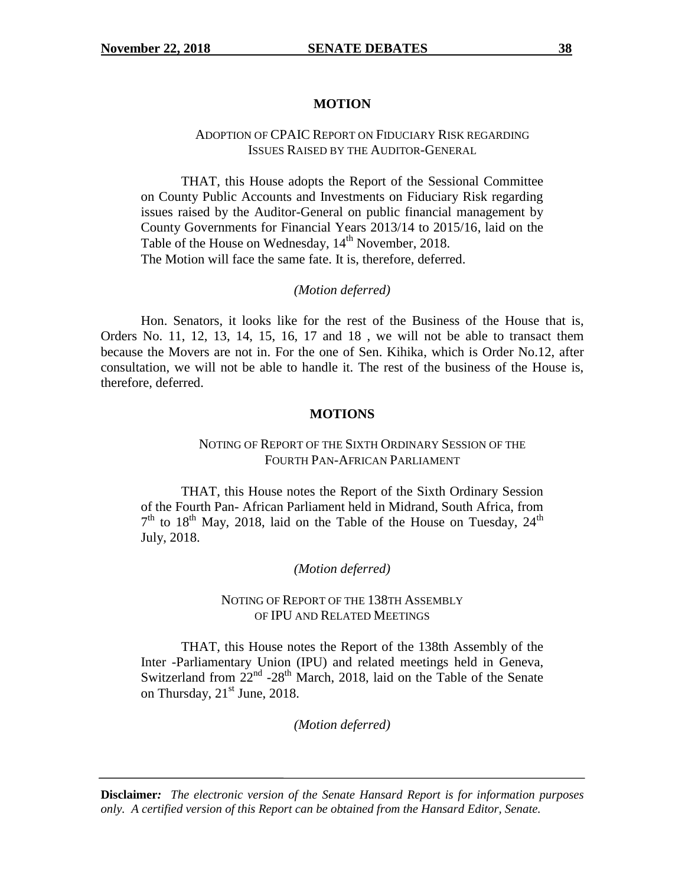#### **MOTION**

#### ADOPTION OF CPAIC REPORT ON FIDUCIARY RISK REGARDING ISSUES RAISED BY THE AUDITOR-GENERAL

THAT, this House adopts the Report of the Sessional Committee on County Public Accounts and Investments on Fiduciary Risk regarding issues raised by the Auditor-General on public financial management by County Governments for Financial Years 2013/14 to 2015/16, laid on the Table of the House on Wednesday, 14<sup>th</sup> November, 2018. The Motion will face the same fate. It is, therefore, deferred.

#### *(Motion deferred)*

Hon. Senators, it looks like for the rest of the Business of the House that is, Orders No. 11, 12, 13, 14, 15, 16, 17 and 18 , we will not be able to transact them because the Movers are not in. For the one of Sen. Kihika, which is Order No.12, after consultation, we will not be able to handle it. The rest of the business of the House is, therefore, deferred.

#### **MOTIONS**

#### NOTING OF REPORT OF THE SIXTH ORDINARY SESSION OF THE FOURTH PAN-AFRICAN PARLIAMENT

THAT, this House notes the Report of the Sixth Ordinary Session of the Fourth Pan- African Parliament held in Midrand, South Africa, from  $7<sup>th</sup>$  to 18<sup>th</sup> May, 2018, laid on the Table of the House on Tuesday, 24<sup>th</sup> July, 2018.

#### *(Motion deferred)*

#### NOTING OF REPORT OF THE 138TH ASSEMBLY OF IPU AND RELATED MEETINGS

THAT, this House notes the Report of the 138th Assembly of the Inter -Parliamentary Union (IPU) and related meetings held in Geneva, Switzerland from  $22<sup>nd</sup>$  -28<sup>th</sup> March, 2018, laid on the Table of the Senate on Thursday,  $21<sup>st</sup>$  June, 2018.

*(Motion deferred)*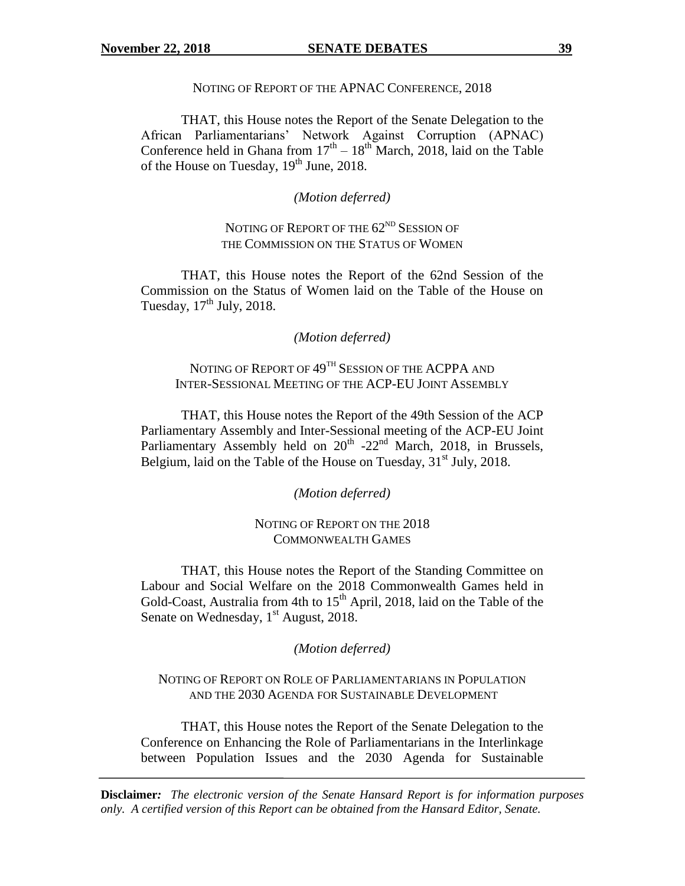#### NOTING OF REPORT OF THE APNAC CONFERENCE, 2018

THAT, this House notes the Report of the Senate Delegation to the African Parliamentarians" Network Against Corruption (APNAC) Conference held in Ghana from  $17<sup>th</sup> - 18<sup>th</sup>$  March, 2018, laid on the Table of the House on Tuesday, 19<sup>th</sup> June, 2018.

#### *(Motion deferred)*

# NOTING OF REPORT OF THE 62<sup>ND</sup> SESSION OF THE COMMISSION ON THE STATUS OF WOMEN

THAT, this House notes the Report of the 62nd Session of the Commission on the Status of Women laid on the Table of the House on Tuesday,  $17<sup>th</sup>$  July, 2018.

#### *(Motion deferred)*

# NOTING OF REPORT OF 49TH SESSION OF THE ACPPA AND INTER-SESSIONAL MEETING OF THE ACP-EU JOINT ASSEMBLY

THAT, this House notes the Report of the 49th Session of the ACP Parliamentary Assembly and Inter-Sessional meeting of the ACP-EU Joint Parliamentary Assembly held on  $20<sup>th</sup>$  -22<sup>nd</sup> March, 2018, in Brussels, Belgium, laid on the Table of the House on Tuesday, 31<sup>st</sup> July, 2018.

*(Motion deferred)*

#### NOTING OF REPORT ON THE 2018 COMMONWEALTH GAMES

THAT, this House notes the Report of the Standing Committee on Labour and Social Welfare on the 2018 Commonwealth Games held in Gold-Coast, Australia from 4th to  $15<sup>th</sup>$  April, 2018, laid on the Table of the Senate on Wednesday,  $1<sup>st</sup>$  August, 2018.

*(Motion deferred)*

#### NOTING OF REPORT ON ROLE OF PARLIAMENTARIANS IN POPULATION AND THE 2030 AGENDA FOR SUSTAINABLE DEVELOPMENT

THAT, this House notes the Report of the Senate Delegation to the Conference on Enhancing the Role of Parliamentarians in the Interlinkage between Population Issues and the 2030 Agenda for Sustainable